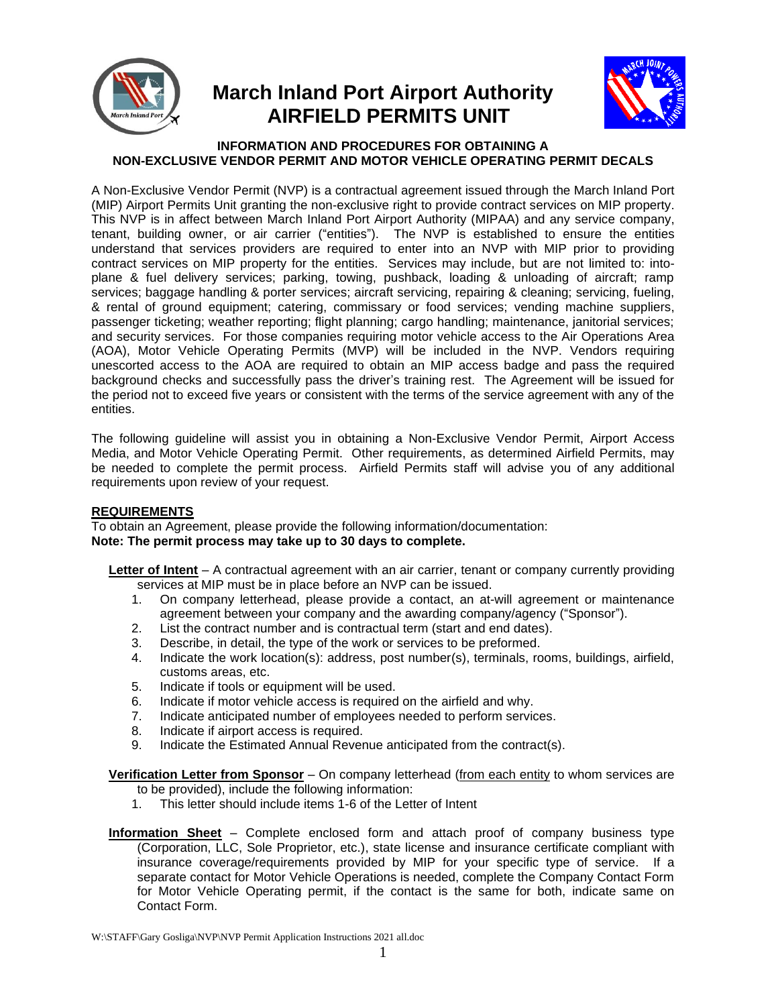

# **March Inland Port Airport Authority AIRFIELD PERMITS UNIT**



#### **INFORMATION AND PROCEDURES FOR OBTAINING A NON-EXCLUSIVE VENDOR PERMIT AND MOTOR VEHICLE OPERATING PERMIT DECALS**

A Non-Exclusive Vendor Permit (NVP) is a contractual agreement issued through the March Inland Port (MIP) Airport Permits Unit granting the non-exclusive right to provide contract services on MIP property. This NVP is in affect between March Inland Port Airport Authority (MIPAA) and any service company, tenant, building owner, or air carrier ("entities"). The NVP is established to ensure the entities understand that services providers are required to enter into an NVP with MIP prior to providing contract services on MIP property for the entities. Services may include, but are not limited to: intoplane & fuel delivery services; parking, towing, pushback, loading & unloading of aircraft; ramp services; baggage handling & porter services; aircraft servicing, repairing & cleaning; servicing, fueling, & rental of ground equipment; catering, commissary or food services; vending machine suppliers, passenger ticketing; weather reporting; flight planning; cargo handling; maintenance, janitorial services; and security services. For those companies requiring motor vehicle access to the Air Operations Area (AOA), Motor Vehicle Operating Permits (MVP) will be included in the NVP. Vendors requiring unescorted access to the AOA are required to obtain an MIP access badge and pass the required background checks and successfully pass the driver's training rest. The Agreement will be issued for the period not to exceed five years or consistent with the terms of the service agreement with any of the entities.

The following guideline will assist you in obtaining a Non-Exclusive Vendor Permit, Airport Access Media, and Motor Vehicle Operating Permit. Other requirements, as determined Airfield Permits, may be needed to complete the permit process. Airfield Permits staff will advise you of any additional requirements upon review of your request.

#### **REQUIREMENTS**

To obtain an Agreement, please provide the following information/documentation: **Note: The permit process may take up to 30 days to complete.**

**Letter of Intent** – A contractual agreement with an air carrier, tenant or company currently providing services at MIP must be in place before an NVP can be issued.

- 1. On company letterhead, please provide a contact, an at-will agreement or maintenance agreement between your company and the awarding company/agency ("Sponsor").
- 2. List the contract number and is contractual term (start and end dates).
- 3. Describe, in detail, the type of the work or services to be preformed.
- 4. Indicate the work location(s): address, post number(s), terminals, rooms, buildings, airfield, customs areas, etc.
- 5. Indicate if tools or equipment will be used.
- 6. Indicate if motor vehicle access is required on the airfield and why.
- 7. Indicate anticipated number of employees needed to perform services.
- 8. Indicate if airport access is required.
- 9. Indicate the Estimated Annual Revenue anticipated from the contract(s).

**Verification Letter from Sponsor** – On company letterhead (from each entity to whom services are

- to be provided), include the following information:
- 1. This letter should include items 1-6 of the Letter of Intent
- **Information Sheet** Complete enclosed form and attach proof of company business type (Corporation, LLC, Sole Proprietor, etc.), state license and insurance certificate compliant with insurance coverage/requirements provided by MIP for your specific type of service. If a separate contact for Motor Vehicle Operations is needed, complete the Company Contact Form for Motor Vehicle Operating permit, if the contact is the same for both, indicate same on Contact Form.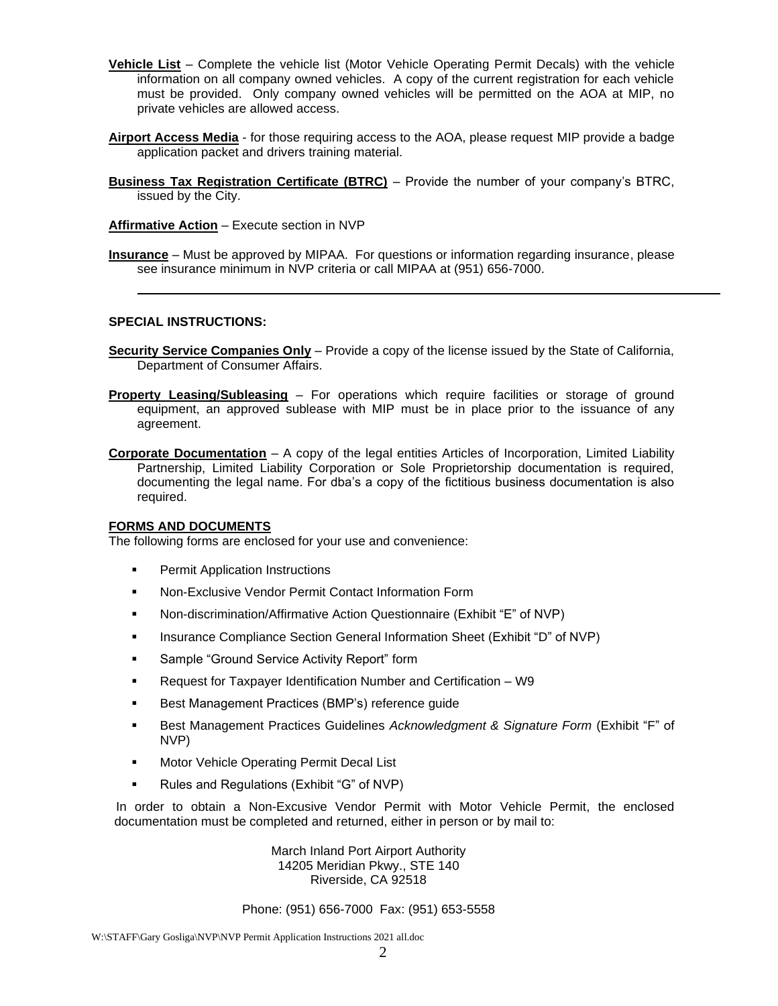- **Vehicle List** Complete the vehicle list (Motor Vehicle Operating Permit Decals) with the vehicle information on all company owned vehicles. A copy of the current registration for each vehicle must be provided. Only company owned vehicles will be permitted on the AOA at MIP, no private vehicles are allowed access.
- **Airport Access Media** for those requiring access to the AOA, please request MIP provide a badge application packet and drivers training material.
- **Business Tax Registration Certificate (BTRC)** Provide the number of your company's BTRC, issued by the City.

**Affirmative Action** – Execute section in NVP

**Insurance** – Must be approved by MIPAA. For questions or information regarding insurance, please see insurance minimum in NVP criteria or call MIPAA at (951) 656-7000.

#### **SPECIAL INSTRUCTIONS:**

- **Security Service Companies Only** Provide a copy of the license issued by the State of California, Department of Consumer Affairs.
- **Property Leasing/Subleasing** For operations which require facilities or storage of ground equipment, an approved sublease with MIP must be in place prior to the issuance of any agreement.
- **Corporate Documentation** A copy of the legal entities Articles of Incorporation, Limited Liability Partnership, Limited Liability Corporation or Sole Proprietorship documentation is required, documenting the legal name. For dba's a copy of the fictitious business documentation is also required.

#### **FORMS AND DOCUMENTS**

The following forms are enclosed for your use and convenience:

- **•** Permit Application Instructions
- Non-Exclusive Vendor Permit Contact Information Form
- Non-discrimination/Affirmative Action Questionnaire (Exhibit "E" of NVP)
- Insurance Compliance Section General Information Sheet (Exhibit "D" of NVP)
- Sample "Ground Service Activity Report" form
- Request for Taxpayer Identification Number and Certification W9
- Best Management Practices (BMP's) reference guide
- Best Management Practices Guidelines *Acknowledgment & Signature Form* (Exhibit "F" of NVP)
- **■** Motor Vehicle Operating Permit Decal List
- Rules and Regulations (Exhibit "G" of NVP)

 In order to obtain a Non-Excusive Vendor Permit with Motor Vehicle Permit, the enclosed documentation must be completed and returned, either in person or by mail to:

> March Inland Port Airport Authority 14205 Meridian Pkwy., STE 140 Riverside, CA 92518

Phone: (951) 656-7000 Fax: (951) 653-5558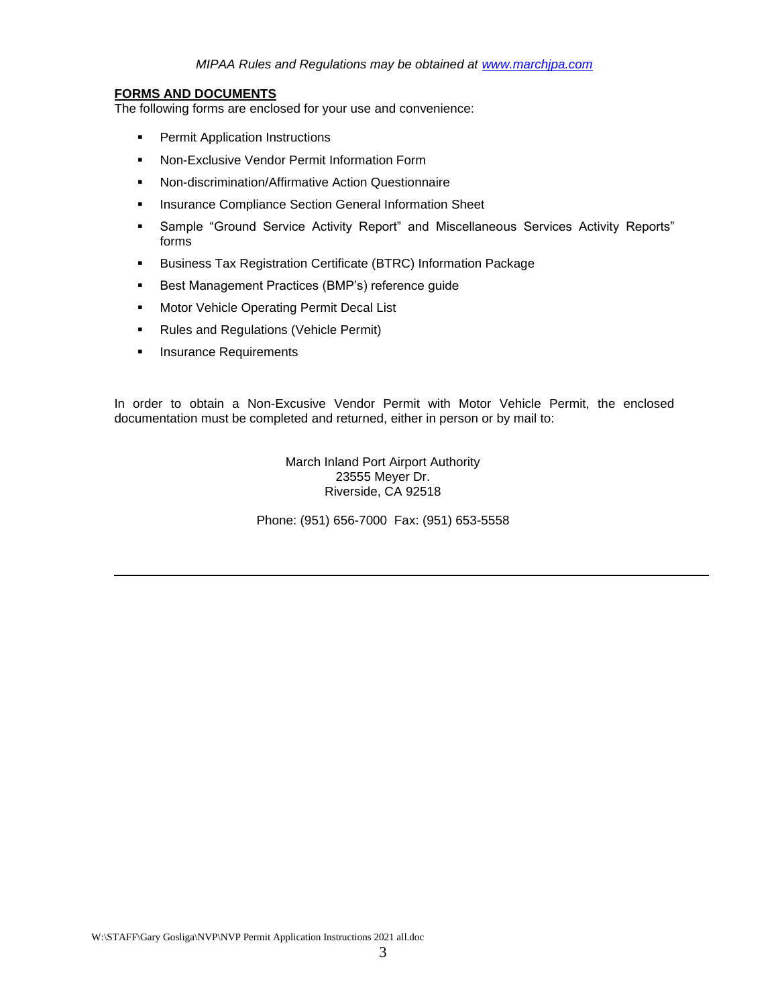#### **FORMS AND DOCUMENTS**

The following forms are enclosed for your use and convenience:

- **•** Permit Application Instructions
- **EXECUSE Vendor Permit Information Form**
- Non-discrimination/Affirmative Action Questionnaire
- **■** Insurance Compliance Section General Information Sheet
- Sample "Ground Service Activity Report" and Miscellaneous Services Activity Reports" forms
- Business Tax Registration Certificate (BTRC) Information Package
- Best Management Practices (BMP's) reference guide
- Motor Vehicle Operating Permit Decal List
- Rules and Regulations (Vehicle Permit)
- **·** Insurance Requirements

In order to obtain a Non-Excusive Vendor Permit with Motor Vehicle Permit, the enclosed documentation must be completed and returned, either in person or by mail to:

> March Inland Port Airport Authority 23555 Meyer Dr. Riverside, CA 92518

Phone: (951) 656-7000 Fax: (951) 653-5558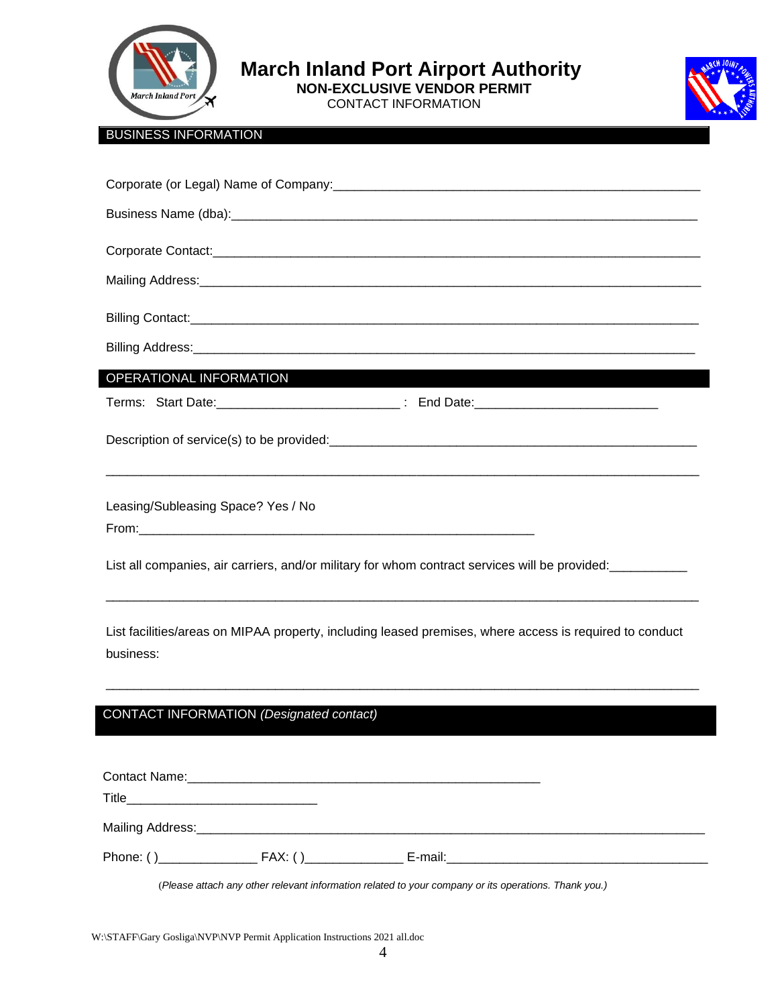

**1** March Inland Port Airport Authority

 **NON-EXCLUSIVE VENDOR PERMIT** 

CONTACT INFORMATION



#### BUSINESS INFORMATION

| OPERATIONAL INFORMATION AND THE RESERVE TO A RESERVE THE RESERVE TO A RESERVE THE RESERVE TO A RESERVE THE RESERVE TO A RESERVE THE RESERVE TO A RESERVE THE RESERVE TO A RESERVE THE RESERVE TO A RESERVE THE RESERVE TO A RE |
|--------------------------------------------------------------------------------------------------------------------------------------------------------------------------------------------------------------------------------|
|                                                                                                                                                                                                                                |
|                                                                                                                                                                                                                                |
| Leasing/Subleasing Space? Yes / No                                                                                                                                                                                             |
| List all companies, air carriers, and/or military for whom contract services will be provided:                                                                                                                                 |
| List facilities/areas on MIPAA property, including leased premises, where access is required to conduct<br>business:                                                                                                           |

#### CONTACT INFORMATION *(Designated contact) will receive all correspondence form the Airfield Permits*

\_\_\_\_\_\_\_\_\_\_\_\_\_\_\_\_\_\_\_\_\_\_\_\_\_\_\_\_\_\_\_\_\_\_\_\_\_\_\_\_\_\_\_\_\_\_\_\_\_\_\_\_\_\_\_\_\_\_\_\_\_\_\_\_\_\_\_\_\_\_\_\_\_\_\_\_\_\_\_\_\_\_\_\_

(*Please attach any other relevant information related to your company or its operations. Thank you.)*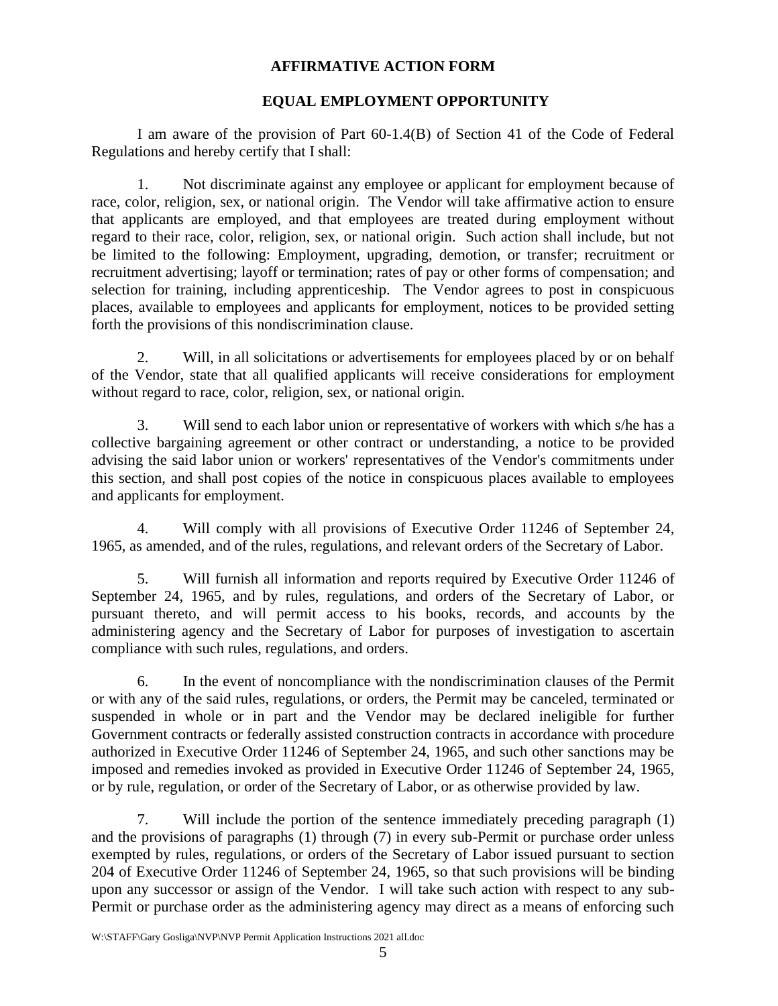#### **AFFIRMATIVE ACTION FORM**

#### **EQUAL EMPLOYMENT OPPORTUNITY**

I am aware of the provision of Part 60-1.4(B) of Section 41 of the Code of Federal Regulations and hereby certify that I shall:

1. Not discriminate against any employee or applicant for employment because of race, color, religion, sex, or national origin. The Vendor will take affirmative action to ensure that applicants are employed, and that employees are treated during employment without regard to their race, color, religion, sex, or national origin. Such action shall include, but not be limited to the following: Employment, upgrading, demotion, or transfer; recruitment or recruitment advertising; layoff or termination; rates of pay or other forms of compensation; and selection for training, including apprenticeship. The Vendor agrees to post in conspicuous places, available to employees and applicants for employment, notices to be provided setting forth the provisions of this nondiscrimination clause.

2. Will, in all solicitations or advertisements for employees placed by or on behalf of the Vendor, state that all qualified applicants will receive considerations for employment without regard to race, color, religion, sex, or national origin.

3. Will send to each labor union or representative of workers with which s/he has a collective bargaining agreement or other contract or understanding, a notice to be provided advising the said labor union or workers' representatives of the Vendor's commitments under this section, and shall post copies of the notice in conspicuous places available to employees and applicants for employment.

4. Will comply with all provisions of Executive Order 11246 of September 24, 1965, as amended, and of the rules, regulations, and relevant orders of the Secretary of Labor.

5. Will furnish all information and reports required by Executive Order 11246 of September 24, 1965, and by rules, regulations, and orders of the Secretary of Labor, or pursuant thereto, and will permit access to his books, records, and accounts by the administering agency and the Secretary of Labor for purposes of investigation to ascertain compliance with such rules, regulations, and orders.

6. In the event of noncompliance with the nondiscrimination clauses of the Permit or with any of the said rules, regulations, or orders, the Permit may be canceled, terminated or suspended in whole or in part and the Vendor may be declared ineligible for further Government contracts or federally assisted construction contracts in accordance with procedure authorized in Executive Order 11246 of September 24, 1965, and such other sanctions may be imposed and remedies invoked as provided in Executive Order 11246 of September 24, 1965, or by rule, regulation, or order of the Secretary of Labor, or as otherwise provided by law.

7. Will include the portion of the sentence immediately preceding paragraph (1) and the provisions of paragraphs (1) through (7) in every sub-Permit or purchase order unless exempted by rules, regulations, or orders of the Secretary of Labor issued pursuant to section 204 of Executive Order 11246 of September 24, 1965, so that such provisions will be binding upon any successor or assign of the Vendor. I will take such action with respect to any sub-Permit or purchase order as the administering agency may direct as a means of enforcing such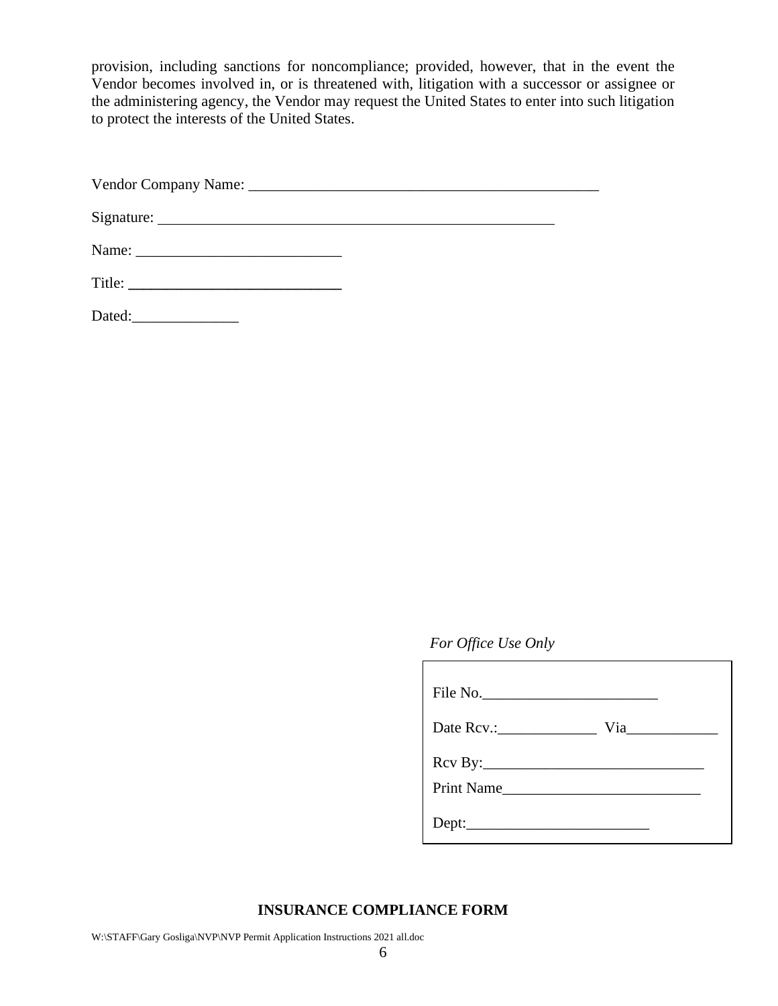provision, including sanctions for noncompliance; provided, however, that in the event the Vendor becomes involved in, or is threatened with, litigation with a successor or assignee or the administering agency, the Vendor may request the United States to enter into such litigation to protect the interests of the United States.

Vendor Company Name: \_\_\_\_\_\_\_\_\_\_\_\_\_\_\_\_\_\_\_\_\_\_\_\_\_\_\_\_\_\_\_\_\_\_\_\_\_\_\_\_\_\_\_\_\_\_

Signature:

| Name: |  |
|-------|--|
|       |  |

Dated:

#### *For Office Use Only*

| File No.    |  |
|-------------|--|
| Via         |  |
| $Rcv \ By:$ |  |
| Print Name  |  |
|             |  |

#### **INSURANCE COMPLIANCE FORM**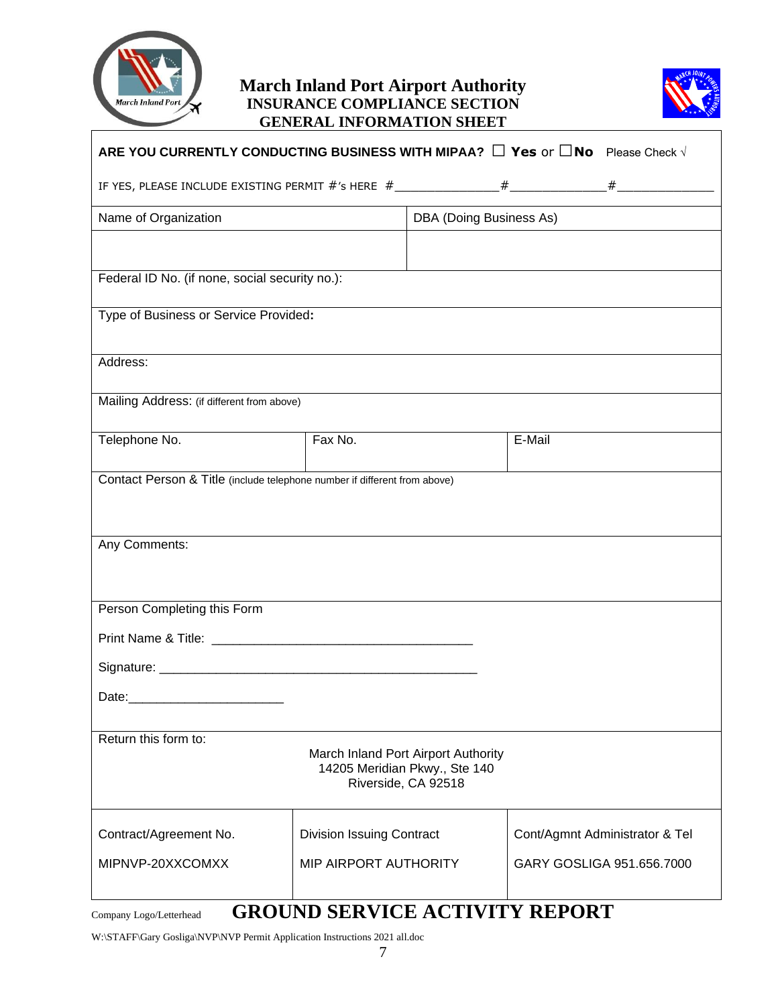

#### **March Inland Port Airport Authority INSURANCE COMPLIANCE SECTION GENERAL INFORMATION SHEET**



| ARE YOU CURRENTLY CONDUCTING BUSINESS WITH MIPAA? □ Yes or □No Please Check V |                                  |                                                                                             |        |                                |
|-------------------------------------------------------------------------------|----------------------------------|---------------------------------------------------------------------------------------------|--------|--------------------------------|
|                                                                               |                                  |                                                                                             |        |                                |
| Name of Organization                                                          |                                  | DBA (Doing Business As)                                                                     |        |                                |
|                                                                               |                                  |                                                                                             |        |                                |
| Federal ID No. (if none, social security no.):                                |                                  |                                                                                             |        |                                |
| Type of Business or Service Provided:                                         |                                  |                                                                                             |        |                                |
| Address:                                                                      |                                  |                                                                                             |        |                                |
| Mailing Address: (if different from above)                                    |                                  |                                                                                             |        |                                |
| Telephone No.                                                                 | Fax No.                          |                                                                                             | E-Mail |                                |
|                                                                               |                                  |                                                                                             |        |                                |
| Contact Person & Title (include telephone number if different from above)     |                                  |                                                                                             |        |                                |
|                                                                               |                                  |                                                                                             |        |                                |
| Any Comments:                                                                 |                                  |                                                                                             |        |                                |
|                                                                               |                                  |                                                                                             |        |                                |
| Person Completing this Form                                                   |                                  |                                                                                             |        |                                |
|                                                                               |                                  |                                                                                             |        |                                |
|                                                                               |                                  |                                                                                             |        |                                |
|                                                                               |                                  |                                                                                             |        |                                |
| Return this form to:                                                          |                                  | March Inland Port Airport Authority<br>14205 Meridian Pkwy., Ste 140<br>Riverside, CA 92518 |        |                                |
| Contract/Agreement No.                                                        | <b>Division Issuing Contract</b> |                                                                                             |        | Cont/Agmnt Administrator & Tel |
| MIPNVP-20XXCOMXX                                                              | MIP AIRPORT AUTHORITY            |                                                                                             |        | GARY GOSLIGA 951.656.7000      |
|                                                                               |                                  |                                                                                             |        |                                |

# Company Logo/Letterhead **GROUND SERVICE ACTIVITY REPORT**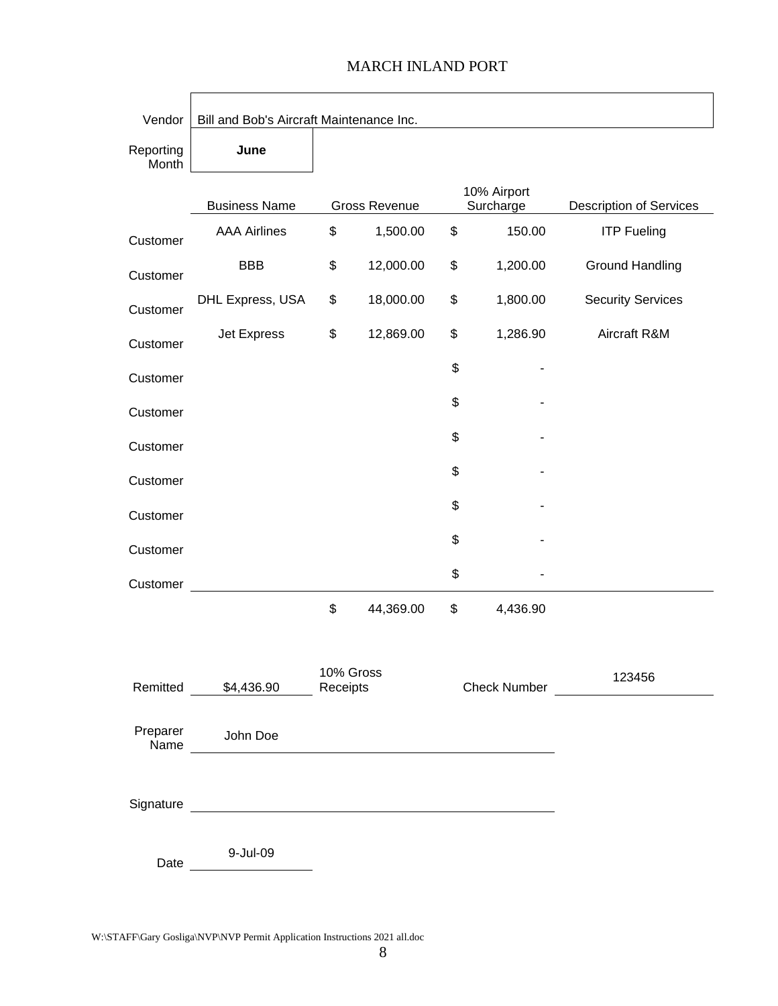## Vendor | Bill and Bob's Aircraft Maintenance Inc. Reporting Month **June** Business Name Gross Revenue 10% Airport Surcharge Description of Services Customer AAA Airlines \$ 1,500.00 \$ 150.00 ITP Fueling Customer BBB \$ 12,000.00 \$ 1,200.00 Ground Handling Customer DHL Express, USA \$ 18,000.00 \$ 1,800.00 Security Services Customer Jet Express \$ 12,869.00 \$ 1,286.90 Aircraft R&M Customer  $\updownarrow$ Customer  $\updownarrow$ Customer  $\updownarrow$ Customer  $\updownarrow$ Customer  $\updownarrow$ Customer  $\updownarrow$ Customer  $\updownarrow$ \$ 44,369.00 \$ 4,436.90 Remitted \$4,436.90 10% Gross Receipts Check Number 123456 Preparer Name John Doe Signature and the state of the state of the state of the state of the state of the state of the state of the state of the state of the state of the state of the state of the state of the state of the state of the state of Date 9-Jul-09

#### MARCH INLAND PORT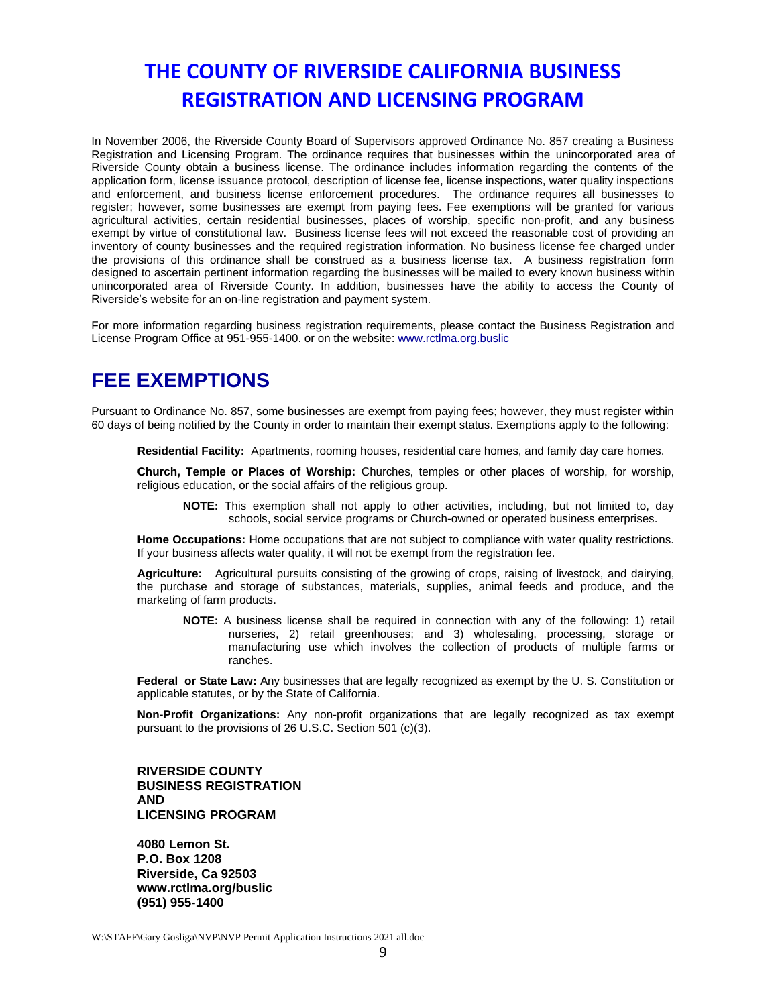# **THE COUNTY OF RIVERSIDE CALIFORNIA BUSINESS REGISTRATION AND LICENSING PROGRAM**

In November 2006, the Riverside County Board of Supervisors approved Ordinance No. 857 creating a Business Registration and Licensing Program. The ordinance requires that businesses within the unincorporated area of Riverside County obtain a business license. The ordinance includes information regarding the contents of the application form, license issuance protocol, description of license fee, license inspections, water quality inspections and enforcement, and business license enforcement procedures. The ordinance requires all businesses to register; however, some businesses are exempt from paying fees. Fee exemptions will be granted for various agricultural activities, certain residential businesses, places of worship, specific non-profit, and any business exempt by virtue of constitutional law. Business license fees will not exceed the reasonable cost of providing an inventory of county businesses and the required registration information. No business license fee charged under the provisions of this ordinance shall be construed as a business license tax. A business registration form designed to ascertain pertinent information regarding the businesses will be mailed to every known business within unincorporated area of Riverside County. In addition, businesses have the ability to access the County of Riverside's website for an on-line registration and payment system.

For more information regarding business registration requirements, please contact the Business Registration and License Program Office at 951-955-1400. or on the website: www.rctlma.org.buslic

# **FEE EXEMPTIONS**

Pursuant to Ordinance No. 857, some businesses are exempt from paying fees; however, they must register within 60 days of being notified by the County in order to maintain their exempt status. Exemptions apply to the following:

**Residential Facility:** Apartments, rooming houses, residential care homes, and family day care homes.

**Church, Temple or Places of Worship:** Churches, temples or other places of worship, for worship, religious education, or the social affairs of the religious group.

**NOTE:** This exemption shall not apply to other activities, including, but not limited to, day schools, social service programs or Church-owned or operated business enterprises.

**Home Occupations:** Home occupations that are not subject to compliance with water quality restrictions. If your business affects water quality, it will not be exempt from the registration fee.

**Agriculture:** Agricultural pursuits consisting of the growing of crops, raising of livestock, and dairying, the purchase and storage of substances, materials, supplies, animal feeds and produce, and the marketing of farm products.

**NOTE:** A business license shall be required in connection with any of the following: 1) retail nurseries, 2) retail greenhouses; and 3) wholesaling, processing, storage or manufacturing use which involves the collection of products of multiple farms or ranches.

**Federal or State Law:** Any businesses that are legally recognized as exempt by the U. S. Constitution or applicable statutes, or by the State of California.

**Non-Profit Organizations:** Any non-profit organizations that are legally recognized as tax exempt pursuant to the provisions of 26 U.S.C. Section 501 (c)(3).

**RIVERSIDE COUNTY BUSINESS REGISTRATION AND LICENSING PROGRAM** 

**4080 Lemon St. P.O. Box 1208 Riverside, Ca 92503 www.rctlma.org/buslic (951) 955-1400**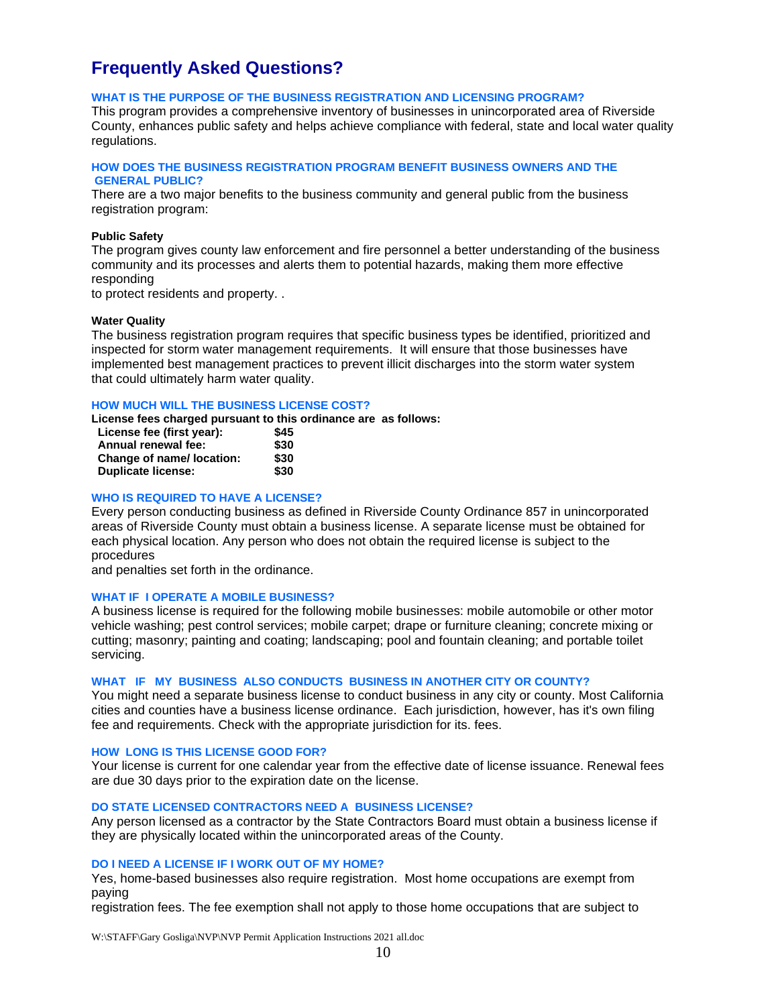# **Frequently Asked Questions?**

#### **WHAT IS THE PURPOSE OF THE BUSINESS REGISTRATION AND LICENSING PROGRAM?**

This program provides a comprehensive inventory of businesses in unincorporated area of Riverside County, enhances public safety and helps achieve compliance with federal, state and local water quality regulations.

#### **HOW DOES THE BUSINESS REGISTRATION PROGRAM BENEFIT BUSINESS OWNERS AND THE GENERAL PUBLIC?**

There are a two major benefits to the business community and general public from the business registration program:

#### **Public Safety**

The program gives county law enforcement and fire personnel a better understanding of the business community and its processes and alerts them to potential hazards, making them more effective responding

to protect residents and property. .

#### **Water Quality**

The business registration program requires that specific business types be identified, prioritized and inspected for storm water management requirements. It will ensure that those businesses have implemented best management practices to prevent illicit discharges into the storm water system that could ultimately harm water quality.

#### **HOW MUCH WILL THE BUSINESS LICENSE COST?**

**License fees charged pursuant to this ordinance are as follows:** 

| License fee (first year): | \$45 |
|---------------------------|------|
| Annual renewal fee:       | \$30 |
| Change of name/ location: | \$30 |
| <b>Duplicate license:</b> | \$30 |

#### **WHO IS REQUIRED TO HAVE A LICENSE?**

Every person conducting business as defined in Riverside County Ordinance 857 in unincorporated areas of Riverside County must obtain a business license. A separate license must be obtained for each physical location. Any person who does not obtain the required license is subject to the procedures

and penalties set forth in the ordinance.

#### **WHAT IF I OPERATE A MOBILE BUSINESS?**

A business license is required for the following mobile businesses: mobile automobile or other motor vehicle washing; pest control services; mobile carpet; drape or furniture cleaning; concrete mixing or cutting; masonry; painting and coating; landscaping; pool and fountain cleaning; and portable toilet servicing.

#### **WHAT IF MY BUSINESS ALSO CONDUCTS BUSINESS IN ANOTHER CITY OR COUNTY?**

You might need a separate business license to conduct business in any city or county. Most California cities and counties have a business license ordinance. Each jurisdiction, however, has it's own filing fee and requirements. Check with the appropriate jurisdiction for its. fees.

#### **HOW LONG IS THIS LICENSE GOOD FOR?**

Your license is current for one calendar year from the effective date of license issuance. Renewal fees are due 30 days prior to the expiration date on the license.

#### **DO STATE LICENSED CONTRACTORS NEED A BUSINESS LICENSE?**

Any person licensed as a contractor by the State Contractors Board must obtain a business license if they are physically located within the unincorporated areas of the County.

#### **DO I NEED A LICENSE IF I WORK OUT OF MY HOME?**

Yes, home-based businesses also require registration. Most home occupations are exempt from paying

registration fees. The fee exemption shall not apply to those home occupations that are subject to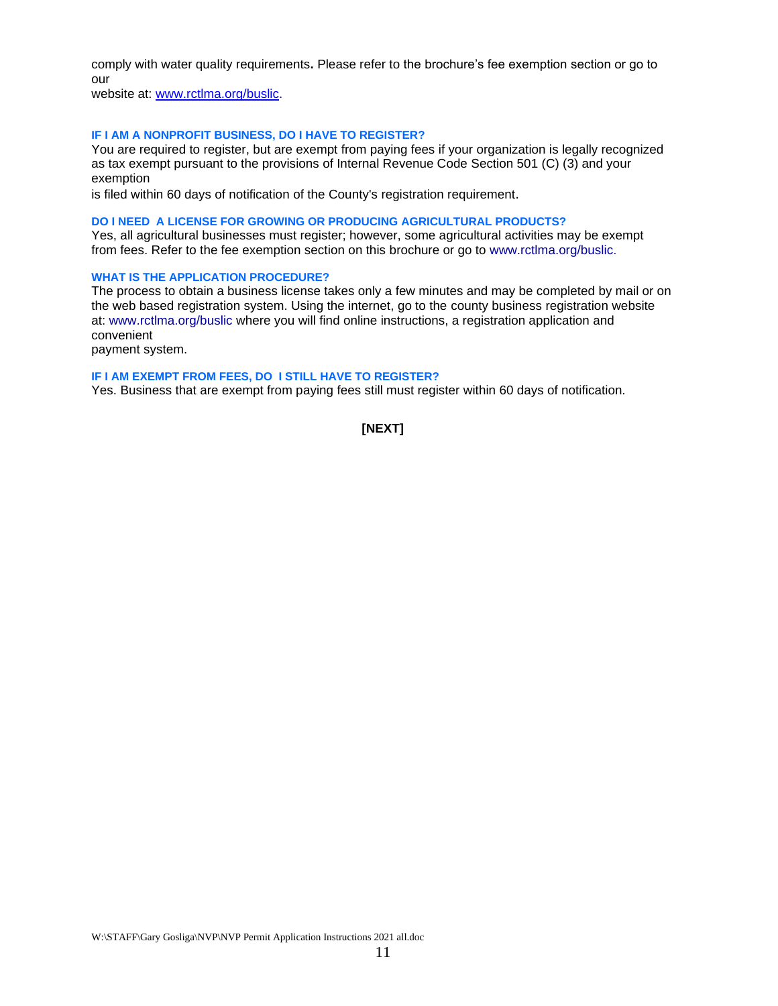comply with water quality requirements**.** Please refer to the brochure's fee exemption section or go to our

website at: [www.rctlma.org/buslic.](http://www.rctlma.org/buslic)

#### **IF I AM A NONPROFIT BUSINESS, DO I HAVE TO REGISTER?**

You are required to register, but are exempt from paying fees if your organization is legally recognized as tax exempt pursuant to the provisions of Internal Revenue Code Section 501 (C) (3) and your exemption

is filed within 60 days of notification of the County's registration requirement.

#### **DO I NEED A LICENSE FOR GROWING OR PRODUCING AGRICULTURAL PRODUCTS?**

Yes, all agricultural businesses must register; however, some agricultural activities may be exempt from fees. Refer to the fee exemption section on this brochure or go to www.rctlma.org/buslic.

#### **WHAT IS THE APPLICATION PROCEDURE?**

The process to obtain a business license takes only a few minutes and may be completed by mail or on the web based registration system. Using the internet, go to the county business registration website at: www.rctlma.org/buslic where you will find online instructions, a registration application and convenient

payment system.

#### **IF I AM EXEMPT FROM FEES, DO I STILL HAVE TO REGISTER?**

Yes. Business that are exempt from paying fees still must register within 60 days of notification.

**[NEXT]**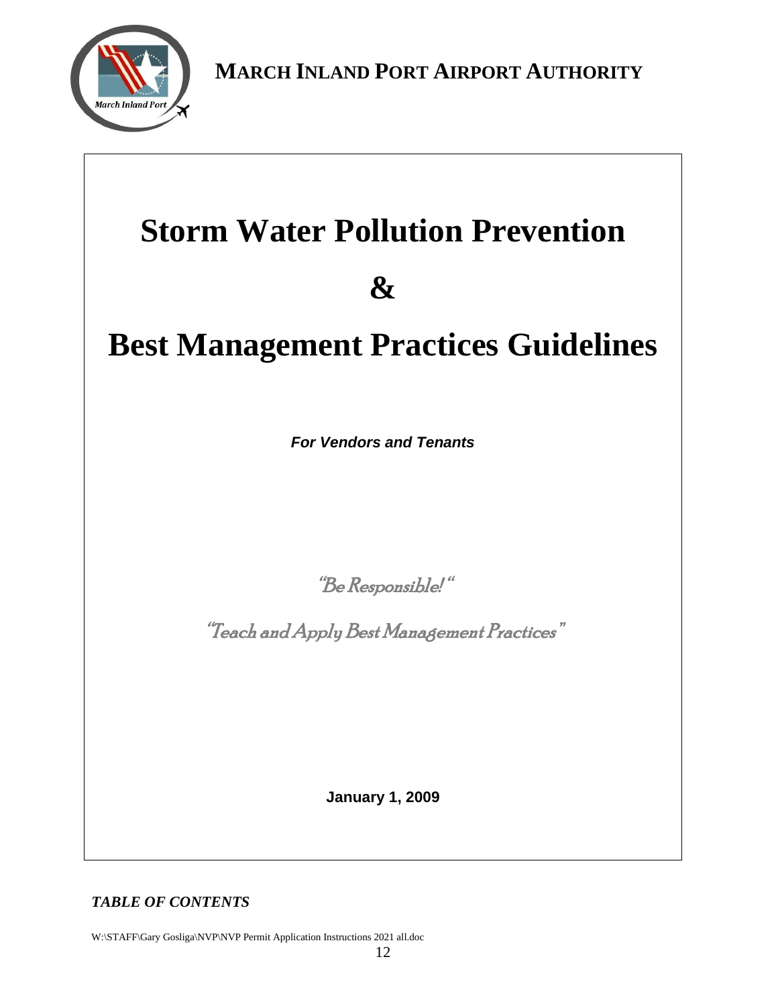

 **MARCH INLAND PORT AIRPORT AUTHORITY**

# **Storm Water Pollution Prevention**

# **&**

# **Best Management Practices Guidelines**

*For Vendors and Tenants*

"Be Responsible! "

"Teach and Apply Best Management Practices"

**January 1, 2009**

*TABLE OF CONTENTS*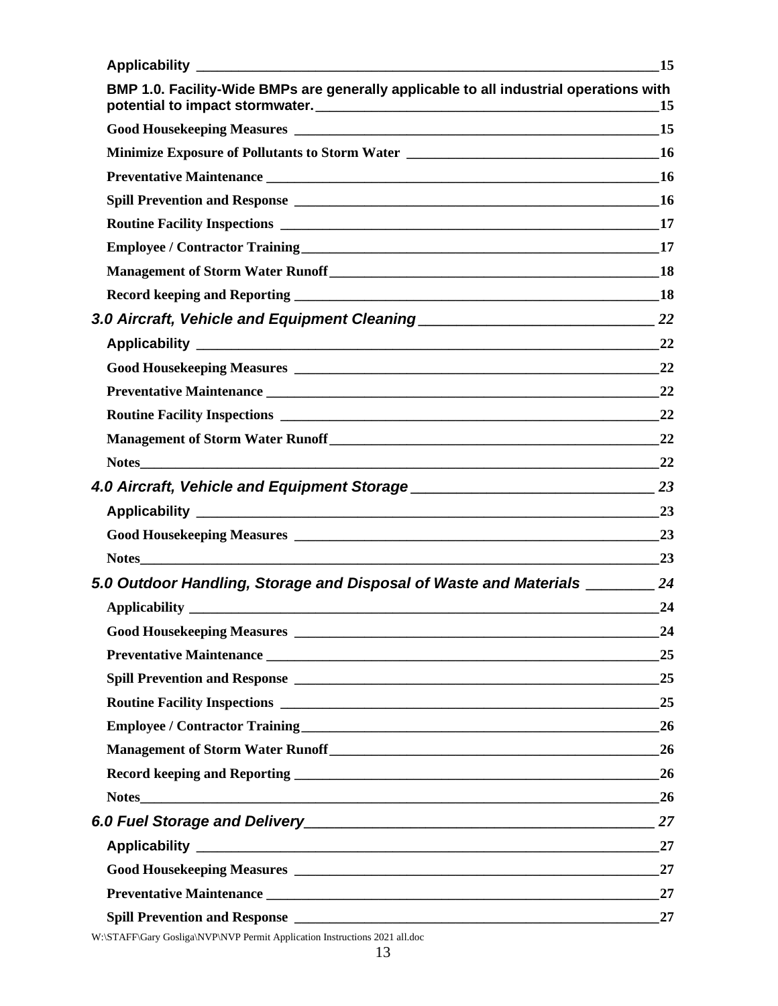|                                                                                        | 15 |
|----------------------------------------------------------------------------------------|----|
| BMP 1.0. Facility-Wide BMPs are generally applicable to all industrial operations with | 15 |
|                                                                                        |    |
|                                                                                        |    |
|                                                                                        |    |
|                                                                                        |    |
|                                                                                        |    |
|                                                                                        |    |
|                                                                                        |    |
|                                                                                        |    |
|                                                                                        |    |
|                                                                                        | 22 |
|                                                                                        |    |
|                                                                                        | 22 |
|                                                                                        |    |
|                                                                                        | 22 |
|                                                                                        |    |
|                                                                                        |    |
|                                                                                        |    |
|                                                                                        |    |
| <b>Notes</b>                                                                           | 23 |
| 5.0 Outdoor Handling, Storage and Disposal of Waste and Materials _________ 24         |    |
|                                                                                        | 24 |
|                                                                                        | 24 |
|                                                                                        | 25 |
|                                                                                        | 25 |
|                                                                                        | 25 |
|                                                                                        | 26 |
|                                                                                        | 26 |
|                                                                                        | 26 |
|                                                                                        | 26 |
|                                                                                        | 27 |
|                                                                                        | 27 |
|                                                                                        | 27 |
|                                                                                        | 27 |
|                                                                                        | 27 |
|                                                                                        |    |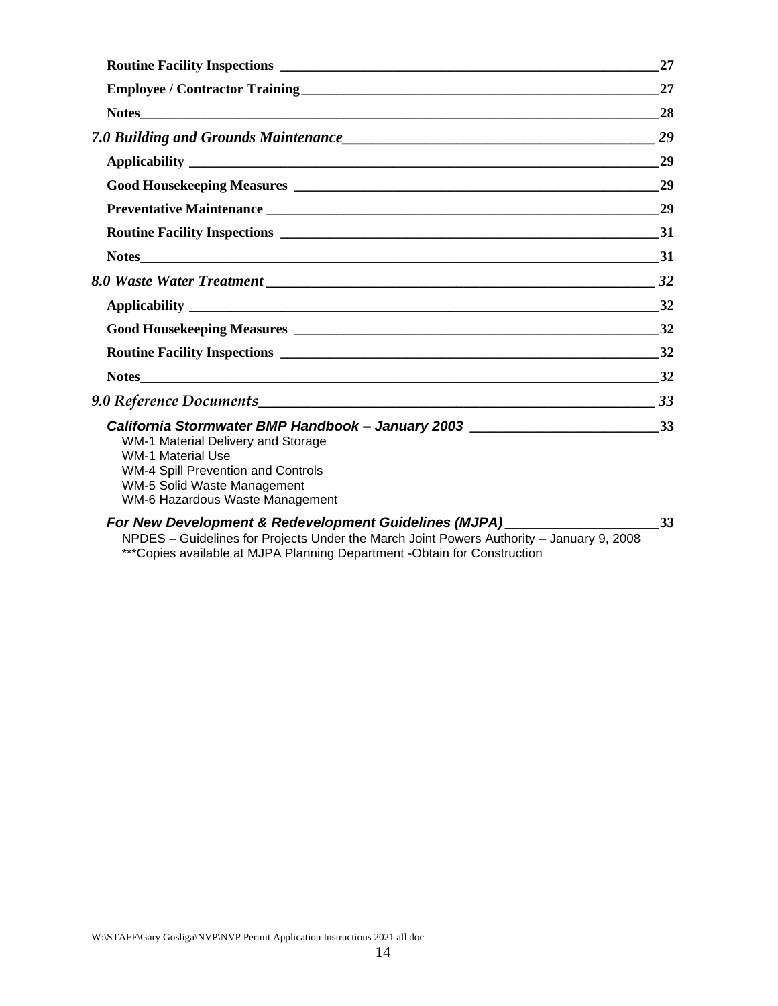| 27                                                                                 |
|------------------------------------------------------------------------------------|
| 27                                                                                 |
| 28                                                                                 |
|                                                                                    |
| 29                                                                                 |
| 29                                                                                 |
|                                                                                    |
|                                                                                    |
|                                                                                    |
|                                                                                    |
|                                                                                    |
|                                                                                    |
|                                                                                    |
| 32                                                                                 |
| 33                                                                                 |
| California Stormwater BMP Handbook - January 2003 ______________________________33 |
|                                                                                    |

#### *[For New Development & Redevelopment Guidelines \(MJPA\)](#page-32-7)* **\_\_\_\_\_\_\_\_\_\_\_\_\_\_\_\_\_\_\_\_\_[\\_33](#page-32-7)**

NPDES – [Guidelines for Projects Under the March Joint Powers Authority –](#page-32-8) January 9, 2008 [\\*\\*\\*Copies available at MJPA Planning Department -Obtain for Construction](#page-32-9)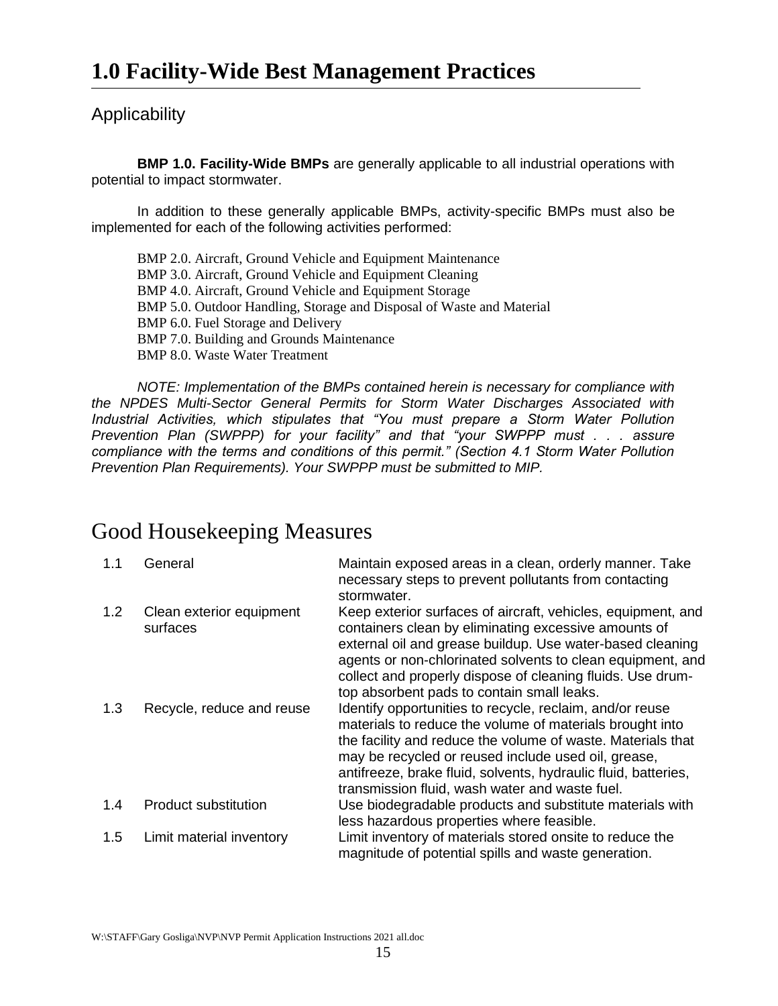## <span id="page-14-0"></span>Applicability

<span id="page-14-1"></span>**BMP 1.0. Facility-Wide BMPs** are generally applicable to all industrial operations with potential to impact stormwater.

In addition to these generally applicable BMPs, activity-specific BMPs must also be implemented for each of the following activities performed:

BMP 2.0. Aircraft, Ground Vehicle and Equipment Maintenance BMP 3.0. Aircraft, Ground Vehicle and Equipment Cleaning BMP 4.0. Aircraft, Ground Vehicle and Equipment Storage BMP 5.0. Outdoor Handling, Storage and Disposal of Waste and Material BMP 6.0. Fuel Storage and Delivery BMP 7.0. Building and Grounds Maintenance BMP 8.0. Waste Water Treatment

*NOTE: Implementation of the BMPs contained herein is necessary for compliance with the NPDES Multi-Sector General Permits for Storm Water Discharges Associated with Industrial Activities, which stipulates that "You must prepare a Storm Water Pollution Prevention Plan (SWPPP) for your facility" and that "your SWPPP must . . . assure compliance with the terms and conditions of this permit." (Section 4.1 Storm Water Pollution Prevention Plan Requirements). Your SWPPP must be submitted to MIP.*

# <span id="page-14-2"></span>Good Housekeeping Measures

| 1.1 | General                              | Maintain exposed areas in a clean, orderly manner. Take<br>necessary steps to prevent pollutants from contacting<br>stormwater.                                                                                                                                                                                                                                |
|-----|--------------------------------------|----------------------------------------------------------------------------------------------------------------------------------------------------------------------------------------------------------------------------------------------------------------------------------------------------------------------------------------------------------------|
| 1.2 | Clean exterior equipment<br>surfaces | Keep exterior surfaces of aircraft, vehicles, equipment, and<br>containers clean by eliminating excessive amounts of<br>external oil and grease buildup. Use water-based cleaning<br>agents or non-chlorinated solvents to clean equipment, and<br>collect and properly dispose of cleaning fluids. Use drum-<br>top absorbent pads to contain small leaks.    |
| 1.3 | Recycle, reduce and reuse            | Identify opportunities to recycle, reclaim, and/or reuse<br>materials to reduce the volume of materials brought into<br>the facility and reduce the volume of waste. Materials that<br>may be recycled or reused include used oil, grease,<br>antifreeze, brake fluid, solvents, hydraulic fluid, batteries,<br>transmission fluid, wash water and waste fuel. |
| 1.4 | Product substitution                 | Use biodegradable products and substitute materials with<br>less hazardous properties where feasible.                                                                                                                                                                                                                                                          |
| 1.5 | Limit material inventory             | Limit inventory of materials stored onsite to reduce the<br>magnitude of potential spills and waste generation.                                                                                                                                                                                                                                                |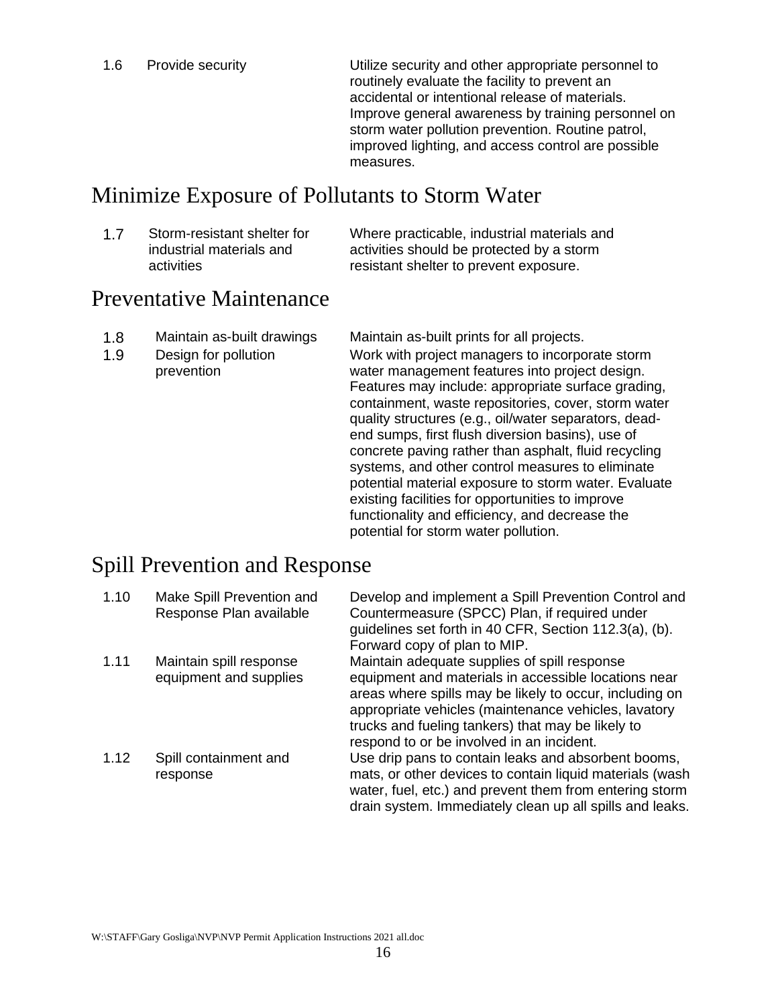1.6 Provide security Utilize security and other appropriate personnel to routinely evaluate the facility to prevent an accidental or intentional release of materials. Improve general awareness by training personnel on storm water pollution prevention. Routine patrol, improved lighting, and access control are possible measures.

# <span id="page-15-0"></span>Minimize Exposure of Pollutants to Storm Water

1.7 Storm-resistant shelter for industrial materials and activities

Where practicable, industrial materials and activities should be protected by a storm resistant shelter to prevent exposure.

# <span id="page-15-1"></span>Preventative Maintenance

- 1.8 Maintain as-built drawings Maintain as-built prints for all projects.
- 1.9 Design for pollution prevention

Work with project managers to incorporate storm water management features into project design. Features may include: appropriate surface grading, containment, waste repositories, cover, storm water quality structures (e.g., oil/water separators, deadend sumps, first flush diversion basins), use of concrete paving rather than asphalt, fluid recycling systems, and other control measures to eliminate potential material exposure to storm water. Evaluate existing facilities for opportunities to improve functionality and efficiency, and decrease the potential for storm water pollution.

# <span id="page-15-2"></span>Spill Prevention and Response

| 1.10 | Make Spill Prevention and<br>Response Plan available | Develop and implement a Spill Prevention Control and<br>Countermeasure (SPCC) Plan, if required under<br>guidelines set forth in 40 CFR, Section 112.3(a), (b).<br>Forward copy of plan to MIP.                                                                                     |
|------|------------------------------------------------------|-------------------------------------------------------------------------------------------------------------------------------------------------------------------------------------------------------------------------------------------------------------------------------------|
| 1.11 | Maintain spill response<br>equipment and supplies    | Maintain adequate supplies of spill response<br>equipment and materials in accessible locations near<br>areas where spills may be likely to occur, including on<br>appropriate vehicles (maintenance vehicles, lavatory<br>trucks and fueling tankers) that may be likely to        |
| 1.12 | Spill containment and<br>response                    | respond to or be involved in an incident.<br>Use drip pans to contain leaks and absorbent booms,<br>mats, or other devices to contain liquid materials (wash<br>water, fuel, etc.) and prevent them from entering storm<br>drain system. Immediately clean up all spills and leaks. |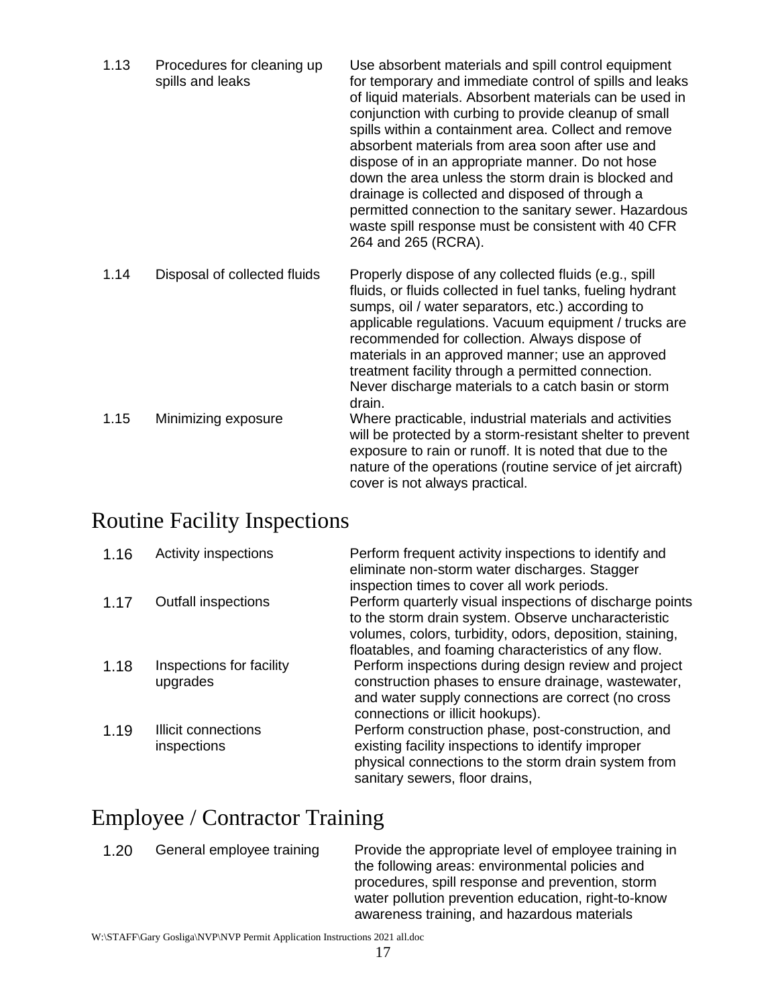| 1.13 | Procedures for cleaning up<br>spills and leaks | Use absorbent materials and spill control equipment<br>for temporary and immediate control of spills and leaks<br>of liquid materials. Absorbent materials can be used in<br>conjunction with curbing to provide cleanup of small<br>spills within a containment area. Collect and remove<br>absorbent materials from area soon after use and<br>dispose of in an appropriate manner. Do not hose<br>down the area unless the storm drain is blocked and<br>drainage is collected and disposed of through a<br>permitted connection to the sanitary sewer. Hazardous<br>waste spill response must be consistent with 40 CFR<br>264 and 265 (RCRA). |
|------|------------------------------------------------|----------------------------------------------------------------------------------------------------------------------------------------------------------------------------------------------------------------------------------------------------------------------------------------------------------------------------------------------------------------------------------------------------------------------------------------------------------------------------------------------------------------------------------------------------------------------------------------------------------------------------------------------------|
| 1.14 | Disposal of collected fluids                   | Properly dispose of any collected fluids (e.g., spill<br>fluids, or fluids collected in fuel tanks, fueling hydrant<br>sumps, oil / water separators, etc.) according to<br>applicable regulations. Vacuum equipment / trucks are<br>recommended for collection. Always dispose of<br>materials in an approved manner; use an approved<br>treatment facility through a permitted connection.<br>Never discharge materials to a catch basin or storm<br>drain.                                                                                                                                                                                      |
| 1.15 | Minimizing exposure                            | Where practicable, industrial materials and activities<br>will be protected by a storm-resistant shelter to prevent<br>exposure to rain or runoff. It is noted that due to the<br>nature of the operations (routine service of jet aircraft)<br>cover is not always practical.                                                                                                                                                                                                                                                                                                                                                                     |

# <span id="page-16-0"></span>Routine Facility Inspections

| 1.16 | Activity inspections                 | Perform frequent activity inspections to identify and<br>eliminate non-storm water discharges. Stagger<br>inspection times to cover all work periods.                                                                               |
|------|--------------------------------------|-------------------------------------------------------------------------------------------------------------------------------------------------------------------------------------------------------------------------------------|
| 1.17 | <b>Outfall inspections</b>           | Perform quarterly visual inspections of discharge points<br>to the storm drain system. Observe uncharacteristic<br>volumes, colors, turbidity, odors, deposition, staining,<br>floatables, and foaming characteristics of any flow. |
| 1.18 | Inspections for facility<br>upgrades | Perform inspections during design review and project<br>construction phases to ensure drainage, wastewater,<br>and water supply connections are correct (no cross<br>connections or illicit hookups).                               |
| 1.19 | Illicit connections<br>inspections   | Perform construction phase, post-construction, and<br>existing facility inspections to identify improper<br>physical connections to the storm drain system from<br>sanitary sewers, floor drains,                                   |

# <span id="page-16-1"></span>Employee / Contractor Training

1.20 General employee training Provide the appropriate level of employee training in the following areas: environmental policies and procedures, spill response and prevention, storm water pollution prevention education, right-to-know awareness training, and hazardous materials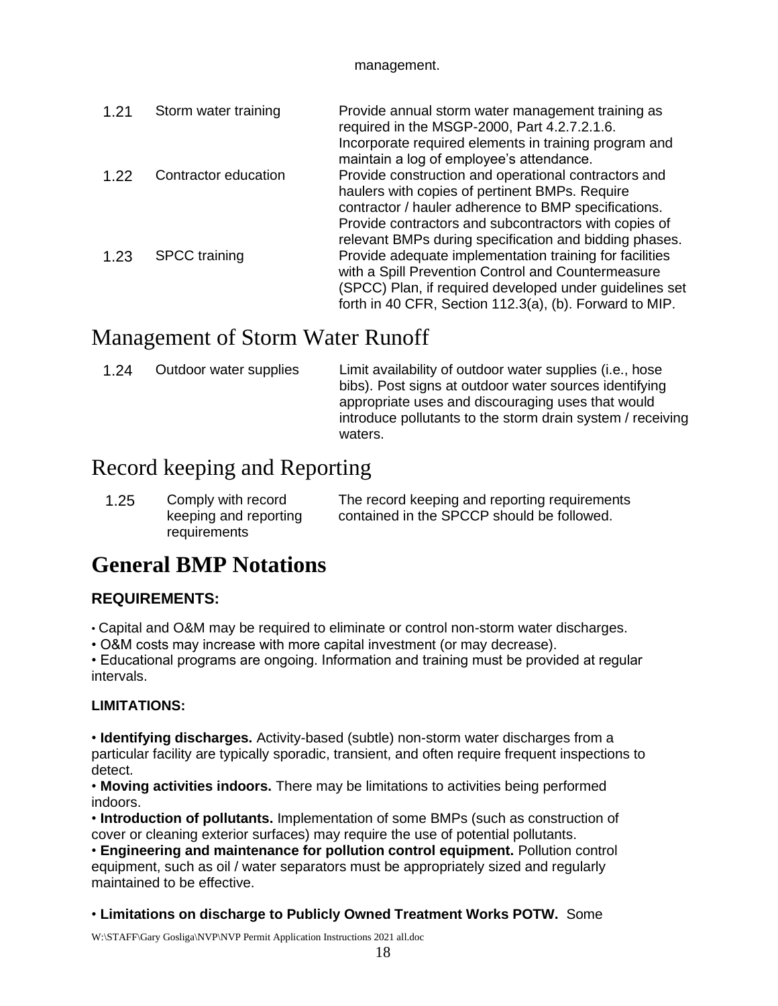#### management.

| 1.21 | Storm water training | Provide annual storm water management training as<br>required in the MSGP-2000, Part 4.2.7.2.1.6.             |
|------|----------------------|---------------------------------------------------------------------------------------------------------------|
|      |                      | Incorporate required elements in training program and<br>maintain a log of employee's attendance.             |
| 1.22 | Contractor education | Provide construction and operational contractors and<br>haulers with copies of pertinent BMPs. Require        |
|      |                      | contractor / hauler adherence to BMP specifications.<br>Provide contractors and subcontractors with copies of |
|      |                      | relevant BMPs during specification and bidding phases.                                                        |
| 1.23 | <b>SPCC</b> training | Provide adequate implementation training for facilities                                                       |
|      |                      | with a Spill Prevention Control and Countermeasure<br>(SPCC) Plan, if required developed under guidelines set |
|      |                      | forth in 40 CFR, Section 112.3(a), (b). Forward to MIP.                                                       |

# <span id="page-17-0"></span>Management of Storm Water Runoff

| 1.24 | Outdoor water supplies | Limit availability of outdoor water supplies (i.e., hose<br>bibs). Post signs at outdoor water sources identifying<br>appropriate uses and discouraging uses that would<br>introduce pollutants to the storm drain system / receiving<br>waters. |
|------|------------------------|--------------------------------------------------------------------------------------------------------------------------------------------------------------------------------------------------------------------------------------------------|
|------|------------------------|--------------------------------------------------------------------------------------------------------------------------------------------------------------------------------------------------------------------------------------------------|

# <span id="page-17-1"></span>Record keeping and Reporting

| 1.25 | Comply with record    | The record keeping and reporting requirements |
|------|-----------------------|-----------------------------------------------|
|      | keeping and reporting | contained in the SPCCP should be followed.    |
|      | requirements          |                                               |

# **General BMP Notations**

#### **REQUIREMENTS:**

• Capital and O&M may be required to eliminate or control non-storm water discharges.

• O&M costs may increase with more capital investment (or may decrease).

• Educational programs are ongoing. Information and training must be provided at regular intervals.

#### **LIMITATIONS:**

• **Identifying discharges.** Activity-based (subtle) non-storm water discharges from a particular facility are typically sporadic, transient, and often require frequent inspections to detect.

• **Moving activities indoors.** There may be limitations to activities being performed indoors.

• **Introduction of pollutants.** Implementation of some BMPs (such as construction of cover or cleaning exterior surfaces) may require the use of potential pollutants.

• **Engineering and maintenance for pollution control equipment.** Pollution control equipment, such as oil / water separators must be appropriately sized and regularly maintained to be effective.

• **Limitations on discharge to Publicly Owned Treatment Works POTW.** Some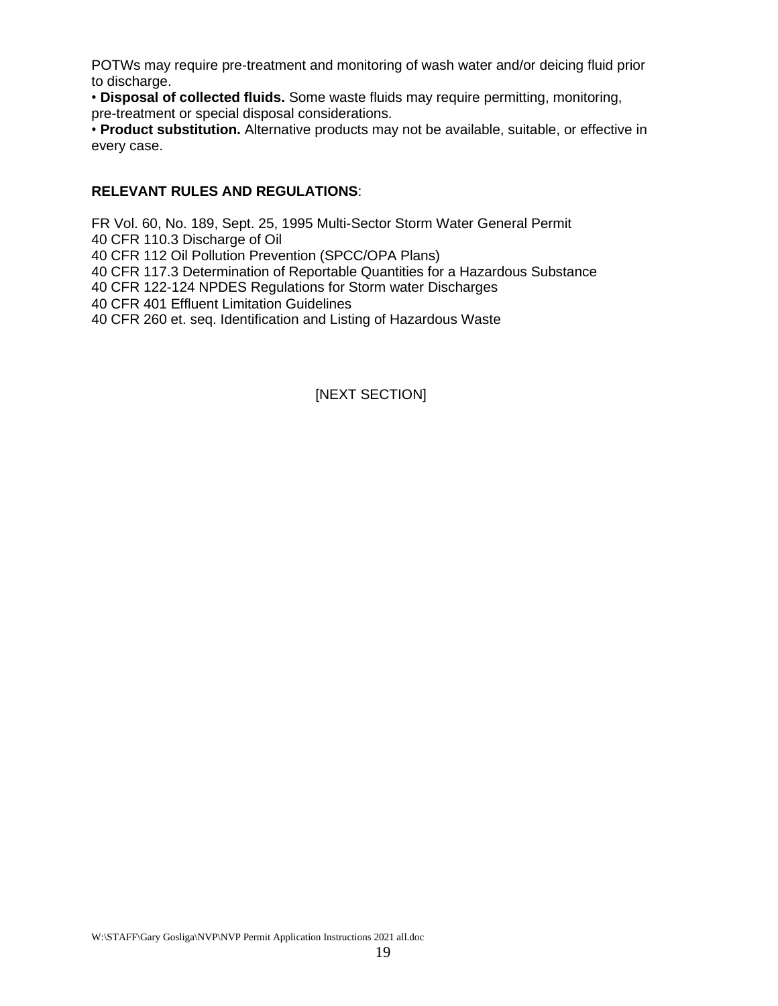POTWs may require pre-treatment and monitoring of wash water and/or deicing fluid prior to discharge.

• **Disposal of collected fluids.** Some waste fluids may require permitting, monitoring, pre-treatment or special disposal considerations.

• **Product substitution.** Alternative products may not be available, suitable, or effective in every case.

#### **RELEVANT RULES AND REGULATIONS**:

FR Vol. 60, No. 189, Sept. 25, 1995 Multi-Sector Storm Water General Permit 40 CFR 110.3 Discharge of Oil 40 CFR 112 Oil Pollution Prevention (SPCC/OPA Plans) 40 CFR 117.3 Determination of Reportable Quantities for a Hazardous Substance 40 CFR 122-124 NPDES Regulations for Storm water Discharges 40 CFR 401 Effluent Limitation Guidelines 40 CFR 260 et. seq. Identification and Listing of Hazardous Waste

#### [NEXT SECTION]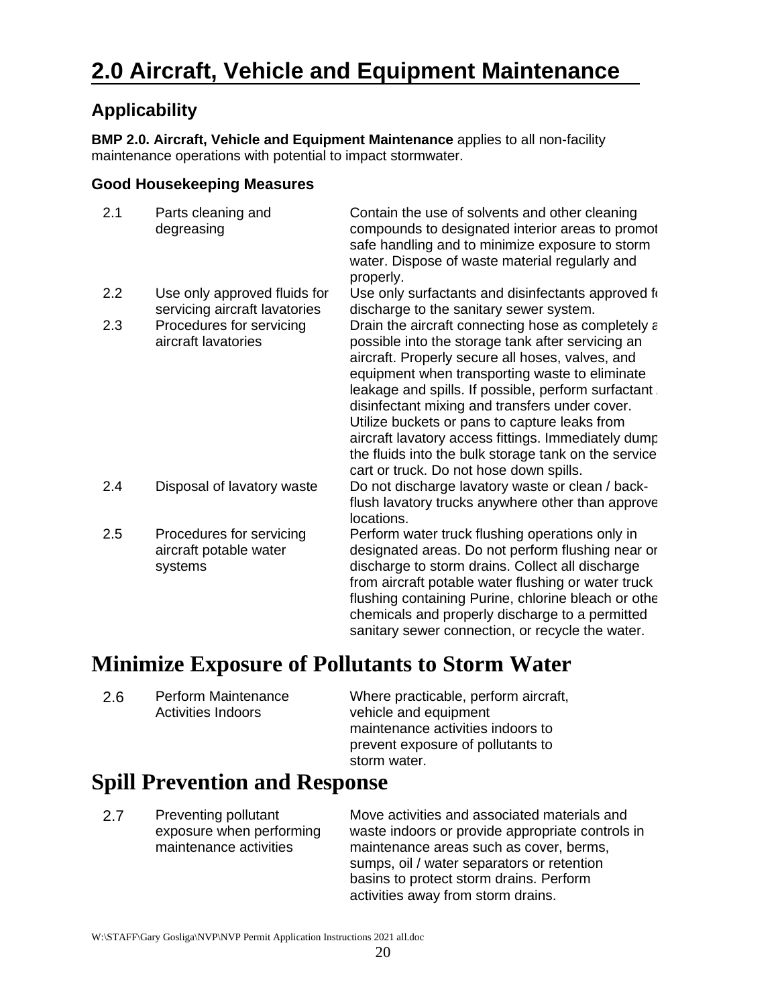# **Applicability**

**BMP 2.0. Aircraft, Vehicle and Equipment Maintenance** applies to all non-facility maintenance operations with potential to impact stormwater.

#### **Good Housekeeping Measures**

| 2.1 | Parts cleaning and<br>degreasing                              | Contain the use of solvents and other cleaning<br>compounds to designated interior areas to promot<br>safe handling and to minimize exposure to storm<br>water. Dispose of waste material regularly and<br>properly.                                                                                                                                                                                                                                                                                                               |
|-----|---------------------------------------------------------------|------------------------------------------------------------------------------------------------------------------------------------------------------------------------------------------------------------------------------------------------------------------------------------------------------------------------------------------------------------------------------------------------------------------------------------------------------------------------------------------------------------------------------------|
| 2.2 | Use only approved fluids for<br>servicing aircraft lavatories | Use only surfactants and disinfectants approved for<br>discharge to the sanitary sewer system.                                                                                                                                                                                                                                                                                                                                                                                                                                     |
| 2.3 | Procedures for servicing<br>aircraft lavatories               | Drain the aircraft connecting hose as completely a<br>possible into the storage tank after servicing an<br>aircraft. Properly secure all hoses, valves, and<br>equipment when transporting waste to eliminate<br>leakage and spills. If possible, perform surfactant,<br>disinfectant mixing and transfers under cover.<br>Utilize buckets or pans to capture leaks from<br>aircraft lavatory access fittings. Immediately dump<br>the fluids into the bulk storage tank on the service<br>cart or truck. Do not hose down spills. |
| 2.4 | Disposal of lavatory waste                                    | Do not discharge lavatory waste or clean / back-<br>flush lavatory trucks anywhere other than approve<br>locations.                                                                                                                                                                                                                                                                                                                                                                                                                |
| 2.5 | Procedures for servicing<br>aircraft potable water<br>systems | Perform water truck flushing operations only in<br>designated areas. Do not perform flushing near or<br>discharge to storm drains. Collect all discharge<br>from aircraft potable water flushing or water truck<br>flushing containing Purine, chlorine bleach or othe<br>chemicals and properly discharge to a permitted<br>sanitary sewer connection, or recycle the water.                                                                                                                                                      |

# **Minimize Exposure of Pollutants to Storm Water**

2.6 Perform Maintenance Activities Indoors Where practicable, perform aircraft, vehicle and equipment maintenance activities indoors to prevent exposure of pollutants to storm water.

# **Spill Prevention and Response**

2.7 Preventing pollutant exposure when performing maintenance activities

Move activities and associated materials and waste indoors or provide appropriate controls in maintenance areas such as cover, berms, sumps, oil / water separators or retention basins to protect storm drains. Perform activities away from storm drains.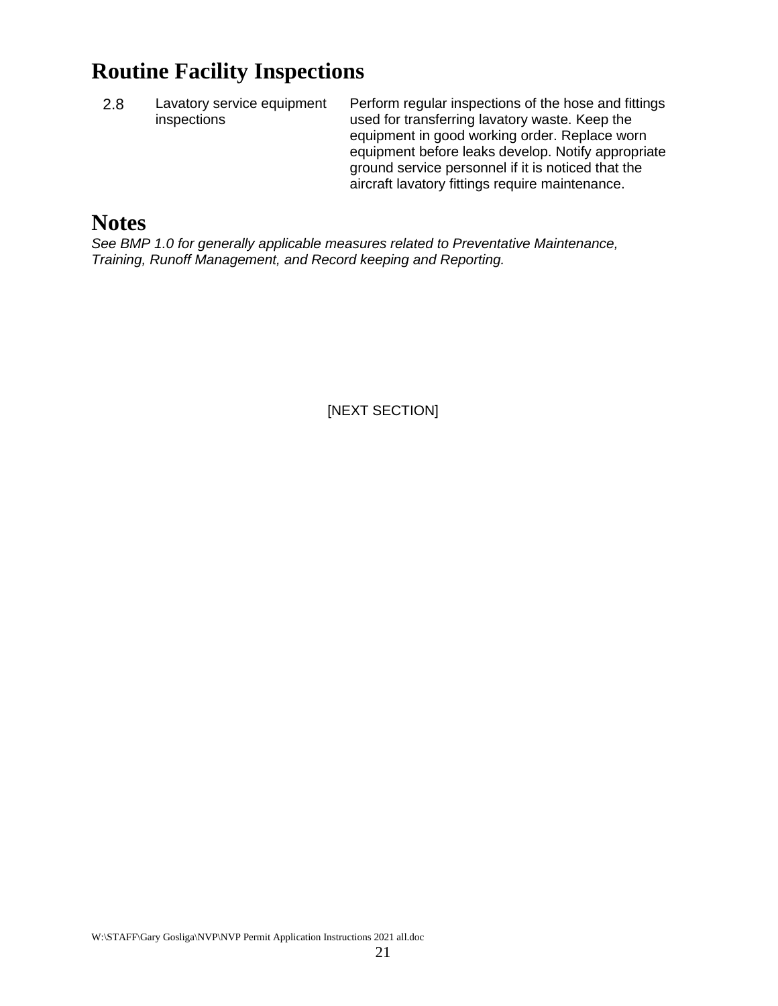# **Routine Facility Inspections**

2.8 Lavatory service equipment inspections

Perform regular inspections of the hose and fittings used for transferring lavatory waste. Keep the equipment in good working order. Replace worn equipment before leaks develop. Notify appropriate ground service personnel if it is noticed that the aircraft lavatory fittings require maintenance.

# **Notes**

*See BMP 1.0 for generally applicable measures related to Preventative Maintenance, Training, Runoff Management, and Record keeping and Reporting.*

[NEXT SECTION]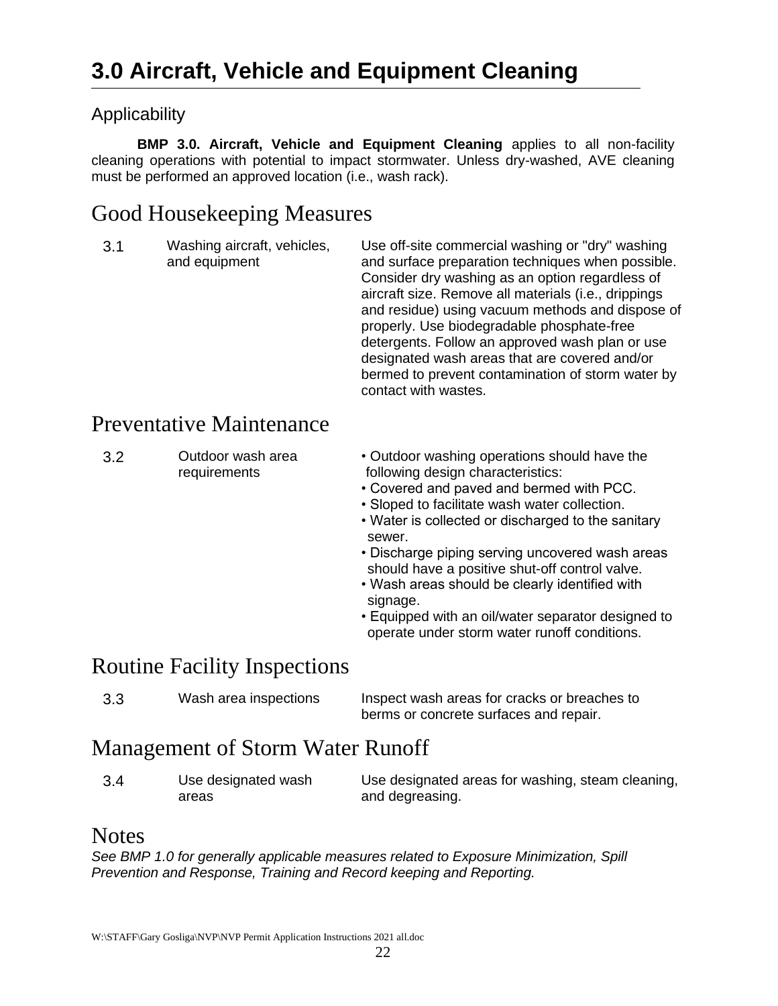# <span id="page-21-1"></span><span id="page-21-0"></span>**Applicability**

**BMP 3.0. Aircraft, Vehicle and Equipment Cleaning** applies to all non-facility cleaning operations with potential to impact stormwater. Unless dry-washed, AVE cleaning must be performed an approved location (i.e., wash rack).

# <span id="page-21-2"></span>Good Housekeeping Measures

3.1 Washing aircraft, vehicles, and equipment Use off-site commercial washing or "dry" washing and surface preparation techniques when possible. Consider dry washing as an option regardless of aircraft size. Remove all materials (i.e., drippings and residue) using vacuum methods and dispose of properly. Use biodegradable phosphate-free detergents. Follow an approved wash plan or use designated wash areas that are covered and/or bermed to prevent contamination of storm water by contact with wastes.

# <span id="page-21-3"></span>Preventative Maintenance

| 3.2 | Outdoor wash area<br>requirements | • Outdoor washing operations should have the<br>following design characteristics:<br>• Covered and paved and bermed with PCC.<br>• Sloped to facilitate wash water collection.<br>• Water is collected or discharged to the sanitary<br>sewer.<br>• Discharge piping serving uncovered wash areas<br>should have a positive shut-off control valve.<br>• Wash areas should be clearly identified with |
|-----|-----------------------------------|-------------------------------------------------------------------------------------------------------------------------------------------------------------------------------------------------------------------------------------------------------------------------------------------------------------------------------------------------------------------------------------------------------|
|     |                                   | signage.                                                                                                                                                                                                                                                                                                                                                                                              |

• Equipped with an oil/water separator designed to operate under storm water runoff conditions.

# <span id="page-21-4"></span>Routine Facility Inspections

| 3.3 | Wash area inspections | Inspect wash areas for cracks or breaches to |
|-----|-----------------------|----------------------------------------------|
|     |                       | berms or concrete surfaces and repair.       |

# <span id="page-21-5"></span>Management of Storm Water Runoff

| 3.4 | Use designated wash | Use designated areas for washing, steam cleaning, |
|-----|---------------------|---------------------------------------------------|
|     | areas               | and degreasing.                                   |

## <span id="page-21-6"></span>**Notes**

*See BMP 1.0 for generally applicable measures related to Exposure Minimization, Spill Prevention and Response, Training and Record keeping and Reporting.*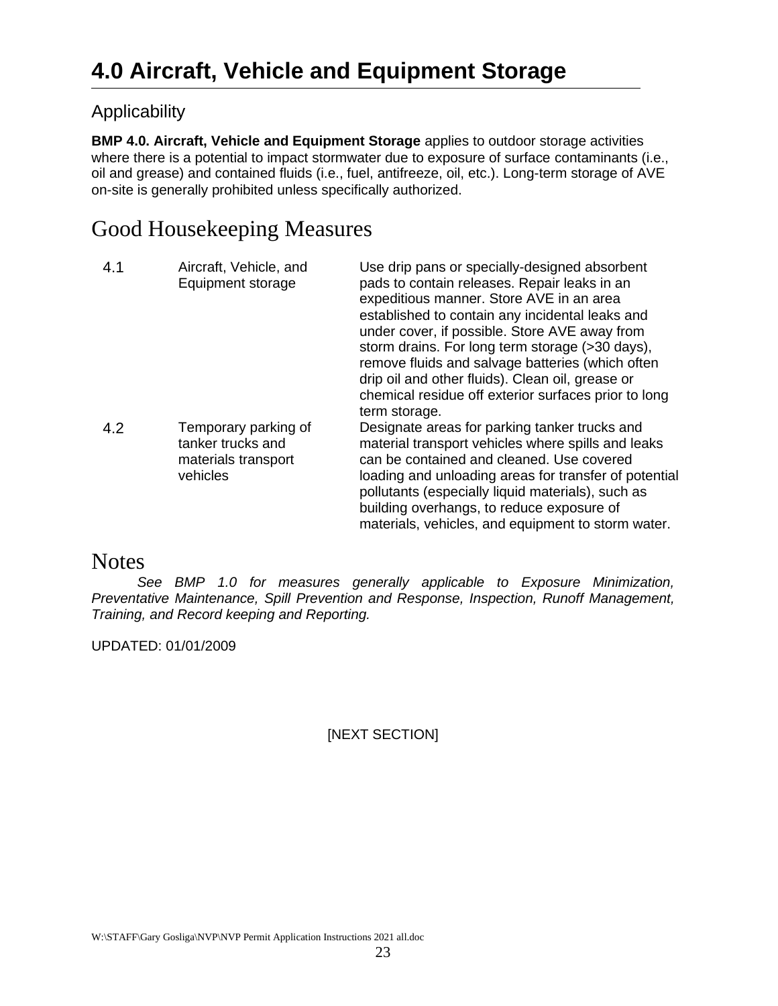# <span id="page-22-1"></span><span id="page-22-0"></span>Applicability

**BMP 4.0. Aircraft, Vehicle and Equipment Storage** applies to outdoor storage activities where there is a potential to impact stormwater due to exposure of surface contaminants (i.e., oil and grease) and contained fluids (i.e., fuel, antifreeze, oil, etc.). Long-term storage of AVE on-site is generally prohibited unless specifically authorized.

# <span id="page-22-2"></span>Good Housekeeping Measures

| 4.1 | Aircraft, Vehicle, and<br>Equipment storage                                  | Use drip pans or specially-designed absorbent<br>pads to contain releases. Repair leaks in an<br>expeditious manner. Store AVE in an area<br>established to contain any incidental leaks and<br>under cover, if possible. Store AVE away from<br>storm drains. For long term storage (>30 days),<br>remove fluids and salvage batteries (which often<br>drip oil and other fluids). Clean oil, grease or<br>chemical residue off exterior surfaces prior to long<br>term storage. |
|-----|------------------------------------------------------------------------------|-----------------------------------------------------------------------------------------------------------------------------------------------------------------------------------------------------------------------------------------------------------------------------------------------------------------------------------------------------------------------------------------------------------------------------------------------------------------------------------|
| 4.2 | Temporary parking of<br>tanker trucks and<br>materials transport<br>vehicles | Designate areas for parking tanker trucks and<br>material transport vehicles where spills and leaks<br>can be contained and cleaned. Use covered<br>loading and unloading areas for transfer of potential<br>pollutants (especially liquid materials), such as<br>building overhangs, to reduce exposure of<br>materials, vehicles, and equipment to storm water.                                                                                                                 |

# <span id="page-22-3"></span>**Notes**

*See BMP 1.0 for measures generally applicable to Exposure Minimization, Preventative Maintenance, Spill Prevention and Response, Inspection, Runoff Management, Training, and Record keeping and Reporting.* 

UPDATED: 01/01/2009

#### [NEXT SECTION]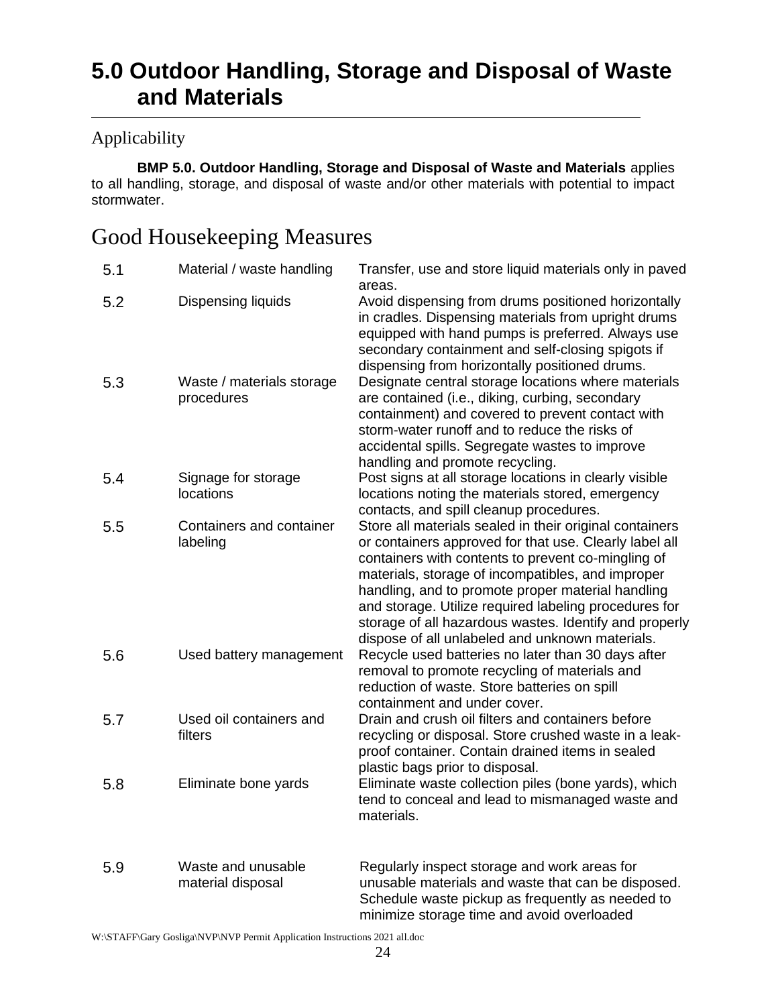# <span id="page-23-0"></span>**5.0 Outdoor Handling, Storage and Disposal of Waste and Materials**

## <span id="page-23-1"></span>Applicability

**BMP 5.0. Outdoor Handling, Storage and Disposal of Waste and Materials** applies to all handling, storage, and disposal of waste and/or other materials with potential to impact stormwater.

# <span id="page-23-2"></span>Good Housekeeping Measures

| 5.1 | Material / waste handling               | Transfer, use and store liquid materials only in paved<br>areas.                                                                                                                                                                                                                                                                                                                                                                                        |
|-----|-----------------------------------------|---------------------------------------------------------------------------------------------------------------------------------------------------------------------------------------------------------------------------------------------------------------------------------------------------------------------------------------------------------------------------------------------------------------------------------------------------------|
| 5.2 | Dispensing liquids                      | Avoid dispensing from drums positioned horizontally<br>in cradles. Dispensing materials from upright drums<br>equipped with hand pumps is preferred. Always use<br>secondary containment and self-closing spigots if<br>dispensing from horizontally positioned drums.                                                                                                                                                                                  |
| 5.3 | Waste / materials storage<br>procedures | Designate central storage locations where materials<br>are contained (i.e., diking, curbing, secondary<br>containment) and covered to prevent contact with<br>storm-water runoff and to reduce the risks of<br>accidental spills. Segregate wastes to improve<br>handling and promote recycling.                                                                                                                                                        |
| 5.4 | Signage for storage<br>locations        | Post signs at all storage locations in clearly visible<br>locations noting the materials stored, emergency<br>contacts, and spill cleanup procedures.                                                                                                                                                                                                                                                                                                   |
| 5.5 | Containers and container<br>labeling    | Store all materials sealed in their original containers<br>or containers approved for that use. Clearly label all<br>containers with contents to prevent co-mingling of<br>materials, storage of incompatibles, and improper<br>handling, and to promote proper material handling<br>and storage. Utilize required labeling procedures for<br>storage of all hazardous wastes. Identify and properly<br>dispose of all unlabeled and unknown materials. |
| 5.6 | Used battery management                 | Recycle used batteries no later than 30 days after<br>removal to promote recycling of materials and<br>reduction of waste. Store batteries on spill<br>containment and under cover.                                                                                                                                                                                                                                                                     |
| 5.7 | Used oil containers and<br>filters      | Drain and crush oil filters and containers before<br>recycling or disposal. Store crushed waste in a leak-<br>proof container. Contain drained items in sealed<br>plastic bags prior to disposal.                                                                                                                                                                                                                                                       |
| 5.8 | Eliminate bone yards                    | Eliminate waste collection piles (bone yards), which<br>tend to conceal and lead to mismanaged waste and<br>materials.                                                                                                                                                                                                                                                                                                                                  |
| 5.9 | Waste and unusable<br>material disposal | Regularly inspect storage and work areas for<br>unusable materials and waste that can be disposed.<br>Schedule waste pickup as frequently as needed to<br>minimize storage time and avoid overloaded                                                                                                                                                                                                                                                    |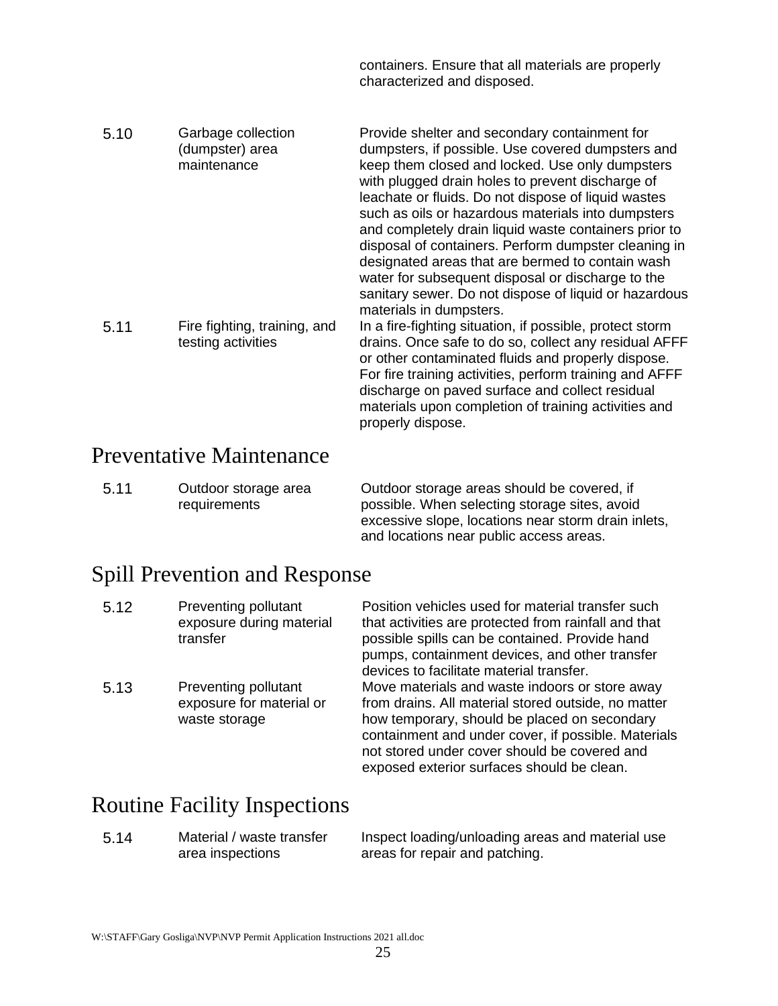containers. Ensure that all materials are properly characterized and disposed.

| 5.10 | Garbage collection<br>(dumpster) area<br>maintenance | Provide shelter and secondary containment for<br>dumpsters, if possible. Use covered dumpsters and<br>keep them closed and locked. Use only dumpsters<br>with plugged drain holes to prevent discharge of<br>leachate or fluids. Do not dispose of liquid wastes<br>such as oils or hazardous materials into dumpsters<br>and completely drain liquid waste containers prior to<br>disposal of containers. Perform dumpster cleaning in<br>designated areas that are bermed to contain wash<br>water for subsequent disposal or discharge to the<br>sanitary sewer. Do not dispose of liquid or hazardous<br>materials in dumpsters. |
|------|------------------------------------------------------|--------------------------------------------------------------------------------------------------------------------------------------------------------------------------------------------------------------------------------------------------------------------------------------------------------------------------------------------------------------------------------------------------------------------------------------------------------------------------------------------------------------------------------------------------------------------------------------------------------------------------------------|
| 5.11 | Fire fighting, training, and<br>testing activities   | In a fire-fighting situation, if possible, protect storm<br>drains. Once safe to do so, collect any residual AFFF<br>or other contaminated fluids and properly dispose.<br>For fire training activities, perform training and AFFF<br>discharge on paved surface and collect residual<br>materials upon completion of training activities and<br>properly dispose.                                                                                                                                                                                                                                                                   |

# <span id="page-24-0"></span>Preventative Maintenance

| 5.11 | Outdoor storage area | Outdoor storage areas should be covered, if         |
|------|----------------------|-----------------------------------------------------|
|      | requirements         | possible. When selecting storage sites, avoid       |
|      |                      | excessive slope, locations near storm drain inlets, |

# <span id="page-24-1"></span>Spill Prevention and Response

| 5.12 | Preventing pollutant<br>exposure during material<br>transfer      | Position vehicles used for material transfer such<br>that activities are protected from rainfall and that<br>possible spills can be contained. Provide hand<br>pumps, containment devices, and other transfer<br>devices to facilitate material transfer.                                                  |
|------|-------------------------------------------------------------------|------------------------------------------------------------------------------------------------------------------------------------------------------------------------------------------------------------------------------------------------------------------------------------------------------------|
| 5.13 | Preventing pollutant<br>exposure for material or<br>waste storage | Move materials and waste indoors or store away<br>from drains. All material stored outside, no matter<br>how temporary, should be placed on secondary<br>containment and under cover, if possible. Materials<br>not stored under cover should be covered and<br>exposed exterior surfaces should be clean. |

# <span id="page-24-2"></span>Routine Facility Inspections

5.14 Material / waste transfer area inspections

Inspect loading/unloading areas and material use areas for repair and patching.

and locations near public access areas.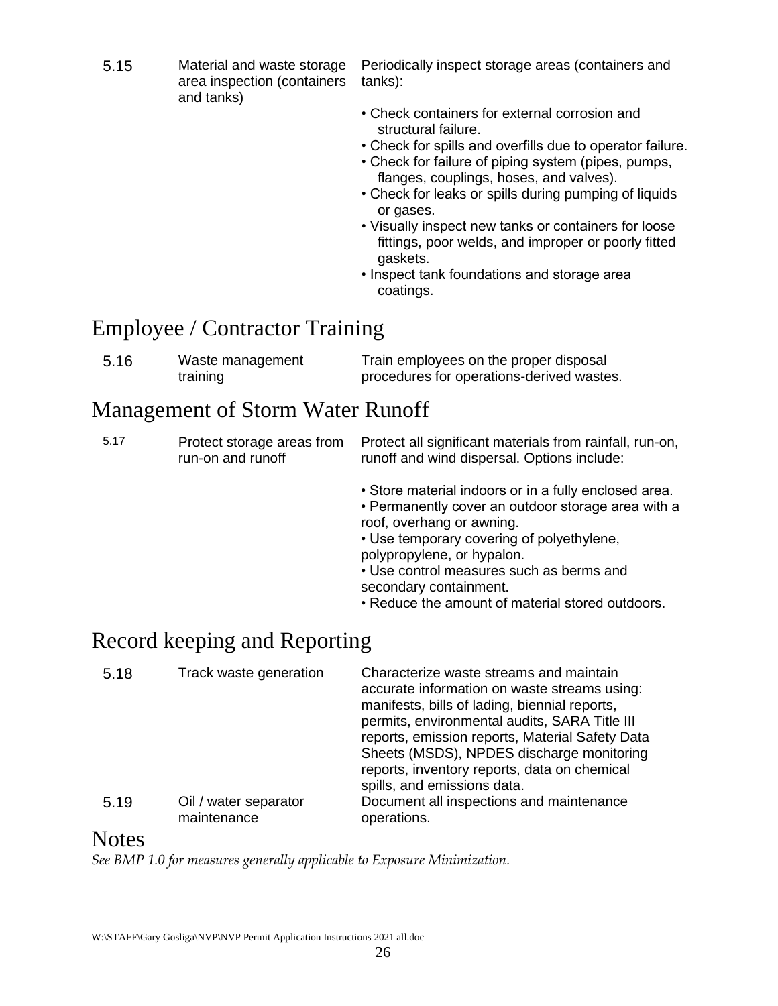5.15 Material and waste storage area inspection (containers and tanks)

Periodically inspect storage areas (containers and tanks):

- Check containers for external corrosion and structural failure.
- Check for spills and overfills due to operator failure.
- Check for failure of piping system (pipes, pumps, flanges, couplings, hoses, and valves).
- Check for leaks or spills during pumping of liquids or gases.
- Visually inspect new tanks or containers for loose fittings, poor welds, and improper or poorly fitted gaskets.
- Inspect tank foundations and storage area coatings.

# <span id="page-25-0"></span>Employee / Contractor Training

| 5.16 | Waste management | Train employees on the proper disposal    |
|------|------------------|-------------------------------------------|
|      | training         | procedures for operations-derived wastes. |

# <span id="page-25-1"></span>Management of Storm Water Runoff

| 5.17 | Protect storage areas from<br>run-on and runoff | Protect all significant materials from rainfall, run-on,<br>runoff and wind dispersal. Options include:                                                                                                                                                                                                                                       |
|------|-------------------------------------------------|-----------------------------------------------------------------------------------------------------------------------------------------------------------------------------------------------------------------------------------------------------------------------------------------------------------------------------------------------|
|      |                                                 | • Store material indoors or in a fully enclosed area.<br>• Permanently cover an outdoor storage area with a<br>roof, overhang or awning.<br>• Use temporary covering of polyethylene,<br>polypropylene, or hypalon.<br>• Use control measures such as berms and<br>secondary containment.<br>• Reduce the amount of material stored outdoors. |
|      | Record keeping and Reporting                    |                                                                                                                                                                                                                                                                                                                                               |

<span id="page-25-2"></span>

| 5.18 | Track waste generation               | Characterize waste streams and maintain<br>accurate information on waste streams using:<br>manifests, bills of lading, biennial reports,<br>permits, environmental audits, SARA Title III<br>reports, emission reports, Material Safety Data<br>Sheets (MSDS), NPDES discharge monitoring<br>reports, inventory reports, data on chemical<br>spills, and emissions data. |
|------|--------------------------------------|--------------------------------------------------------------------------------------------------------------------------------------------------------------------------------------------------------------------------------------------------------------------------------------------------------------------------------------------------------------------------|
| 5.19 | Oil / water separator<br>maintenance | Document all inspections and maintenance<br>operations.                                                                                                                                                                                                                                                                                                                  |

# <span id="page-25-3"></span>**Notes**

*See BMP 1.0 for measures generally applicable to Exposure Minimization.*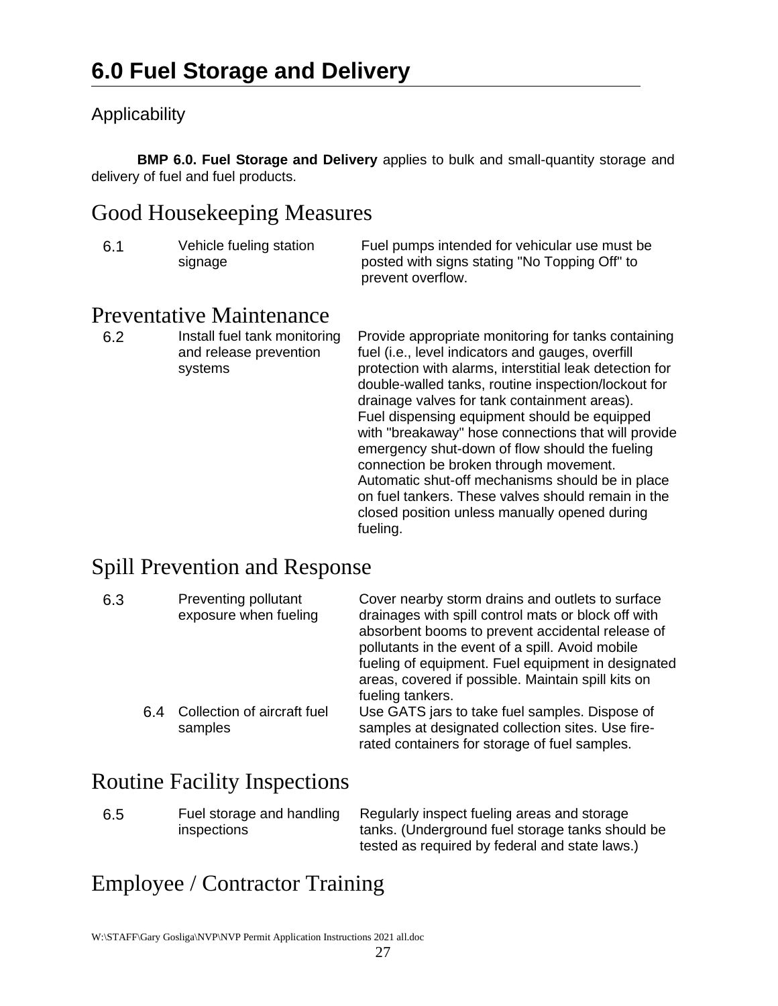# <span id="page-26-1"></span><span id="page-26-0"></span>Applicability

**BMP 6.0. Fuel Storage and Delivery** applies to bulk and small-quantity storage and delivery of fuel and fuel products.

# <span id="page-26-2"></span>Good Housekeeping Measures

| -6.1 | Vehicle fueling station | Fuel pu |
|------|-------------------------|---------|
|      | signage                 | posted  |

amps intended for vehicular use must be with signs stating "No Topping Off" to prevent overflow.

# <span id="page-26-3"></span>Preventative Maintenance

6.2 Install fuel tank monitoring and release prevention systems

Provide appropriate monitoring for tanks containing fuel (i.e., level indicators and gauges, overfill protection with alarms, interstitial leak detection for double-walled tanks, routine inspection/lockout for drainage valves for tank containment areas). Fuel dispensing equipment should be equipped with "breakaway" hose connections that will provide emergency shut-down of flow should the fueling connection be broken through movement. Automatic shut-off mechanisms should be in place on fuel tankers. These valves should remain in the closed position unless manually opened during fueling.

# <span id="page-26-4"></span>Spill Prevention and Response

| 6.3 | Preventing pollutant<br>exposure when fueling | Cover nearby storm drains and outlets to surface<br>drainages with spill control mats or block off with<br>absorbent booms to prevent accidental release of<br>pollutants in the event of a spill. Avoid mobile<br>fueling of equipment. Fuel equipment in designated<br>areas, covered if possible. Maintain spill kits on<br>fueling tankers. |
|-----|-----------------------------------------------|-------------------------------------------------------------------------------------------------------------------------------------------------------------------------------------------------------------------------------------------------------------------------------------------------------------------------------------------------|
| 6.4 | Collection of aircraft fuel<br>samples        | Use GATS jars to take fuel samples. Dispose of<br>samples at designated collection sites. Use fire-<br>rated containers for storage of fuel samples.                                                                                                                                                                                            |

# <span id="page-26-5"></span>Routine Facility Inspections

6.5 Fuel storage and handling inspections Regularly inspect fueling areas and storage tanks. (Underground fuel storage tanks should be tested as required by federal and state laws.)

# <span id="page-26-6"></span>Employee / Contractor Training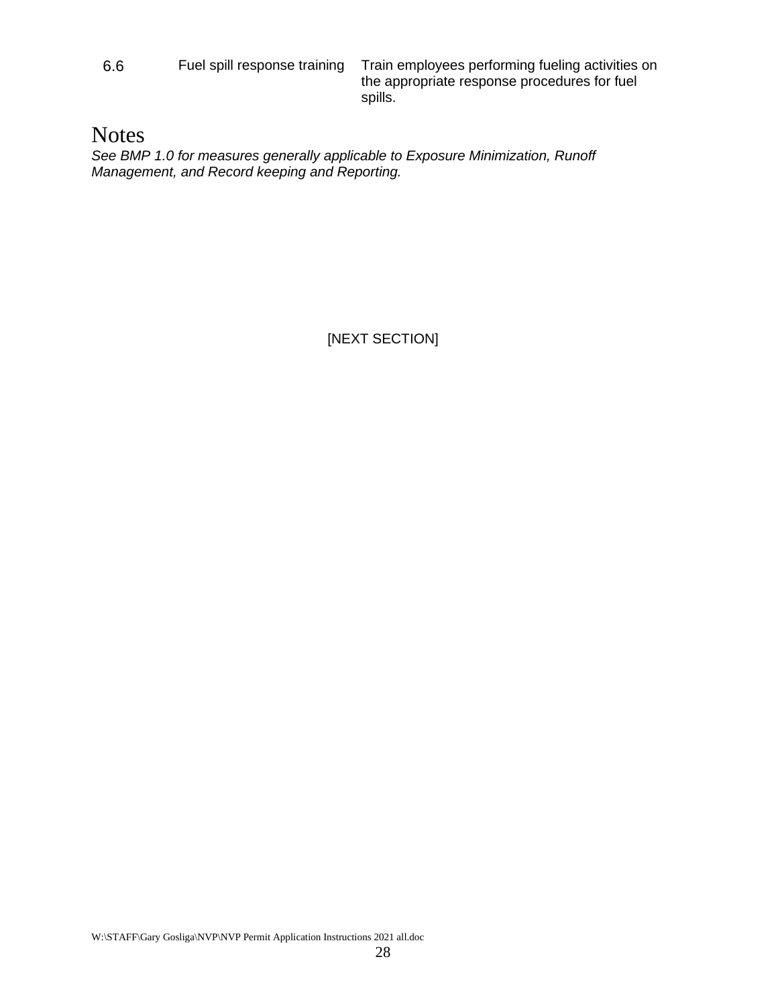6.6 Fuel spill response training Train employees performing fueling activities on the appropriate response procedures for fuel spills.

# <span id="page-27-0"></span>**Notes**

*See BMP 1.0 for measures generally applicable to Exposure Minimization, Runoff Management, and Record keeping and Reporting.*

[NEXT SECTION]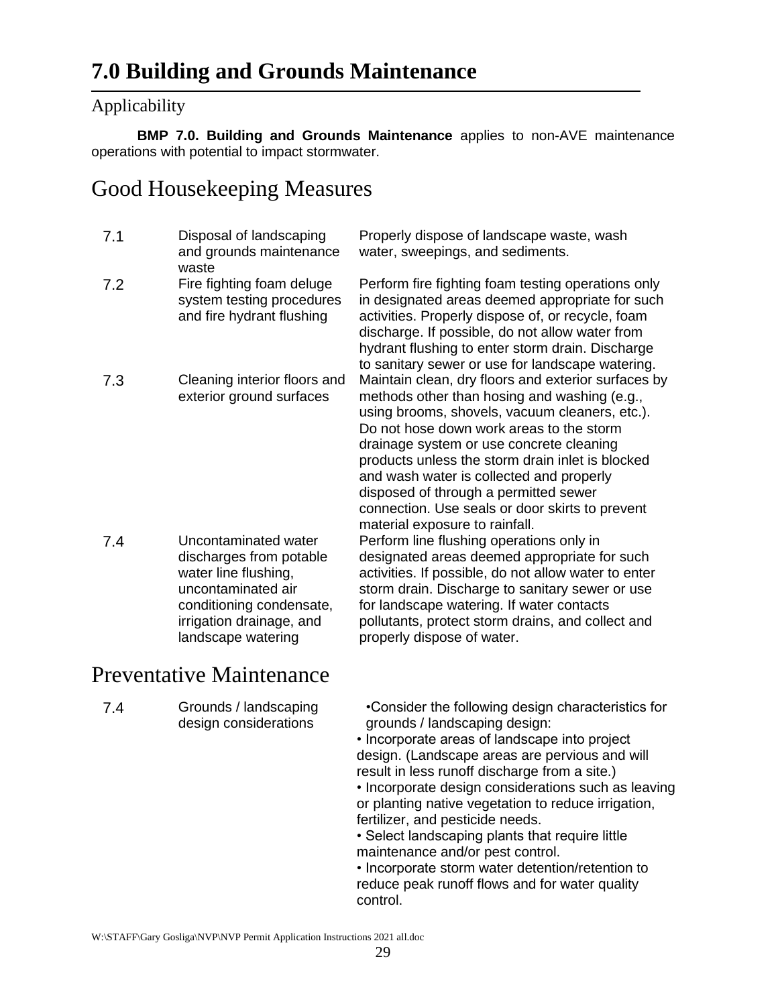#### <span id="page-28-1"></span><span id="page-28-0"></span>Applicability

**BMP 7.0. Building and Grounds Maintenance** applies to non-AVE maintenance operations with potential to impact stormwater.

# <span id="page-28-2"></span>Good Housekeeping Measures

7.1 Disposal of landscaping and grounds maintenance waste Properly dispose of landscape waste, wash water, sweepings, and sediments. 7.2 Fire fighting foam deluge system testing procedures and fire hydrant flushing Perform fire fighting foam testing operations only in designated areas deemed appropriate for such activities. Properly dispose of, or recycle, foam discharge. If possible, do not allow water from hydrant flushing to enter storm drain. Discharge to sanitary sewer or use for landscape watering. 7.3 Cleaning interior floors and exterior ground surfaces Maintain clean, dry floors and exterior surfaces by methods other than hosing and washing (e.g., using brooms, shovels, vacuum cleaners, etc.). Do not hose down work areas to the storm drainage system or use concrete cleaning products unless the storm drain inlet is blocked and wash water is collected and properly disposed of through a permitted sewer connection. Use seals or door skirts to prevent material exposure to rainfall. 7.4 Uncontaminated water discharges from potable water line flushing, uncontaminated air conditioning condensate, irrigation drainage, and landscape watering Perform line flushing operations only in designated areas deemed appropriate for such activities. If possible, do not allow water to enter storm drain. Discharge to sanitary sewer or use for landscape watering. If water contacts pollutants, protect storm drains, and collect and properly dispose of water.

# <span id="page-28-3"></span>Preventative Maintenance

7.4 Grounds / landscaping design considerations

•Consider the following design characteristics for grounds / landscaping design:

• Incorporate areas of landscape into project design. (Landscape areas are pervious and will result in less runoff discharge from a site.)

• Incorporate design considerations such as leaving or planting native vegetation to reduce irrigation, fertilizer, and pesticide needs.

• Select landscaping plants that require little maintenance and/or pest control.

• Incorporate storm water detention/retention to reduce peak runoff flows and for water quality control.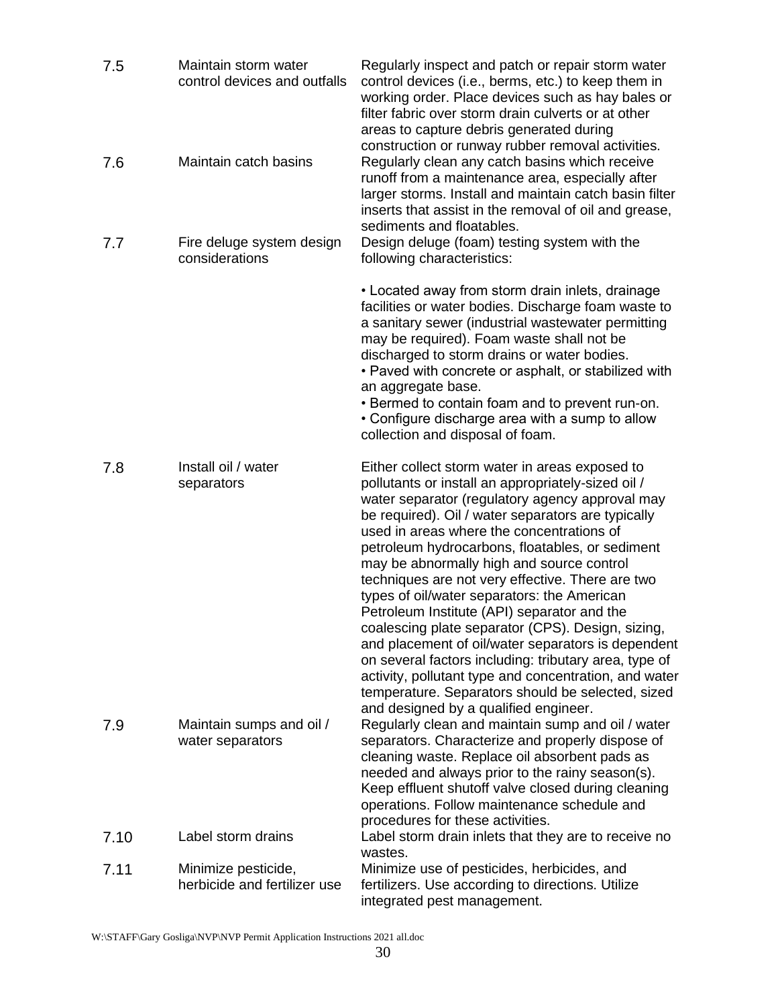| 7.5  | Maintain storm water<br>control devices and outfalls | Regularly inspect and patch or repair storm water<br>control devices (i.e., berms, etc.) to keep them in<br>working order. Place devices such as hay bales or<br>filter fabric over storm drain culverts or at other<br>areas to capture debris generated during<br>construction or runway rubber removal activities.                                                                                                                                                                                                                                                                                                                                                                                                                                                                                                                   |
|------|------------------------------------------------------|-----------------------------------------------------------------------------------------------------------------------------------------------------------------------------------------------------------------------------------------------------------------------------------------------------------------------------------------------------------------------------------------------------------------------------------------------------------------------------------------------------------------------------------------------------------------------------------------------------------------------------------------------------------------------------------------------------------------------------------------------------------------------------------------------------------------------------------------|
| 7.6  | Maintain catch basins                                | Regularly clean any catch basins which receive<br>runoff from a maintenance area, especially after<br>larger storms. Install and maintain catch basin filter<br>inserts that assist in the removal of oil and grease,<br>sediments and floatables.                                                                                                                                                                                                                                                                                                                                                                                                                                                                                                                                                                                      |
| 7.7  | Fire deluge system design<br>considerations          | Design deluge (foam) testing system with the<br>following characteristics:                                                                                                                                                                                                                                                                                                                                                                                                                                                                                                                                                                                                                                                                                                                                                              |
|      |                                                      | • Located away from storm drain inlets, drainage<br>facilities or water bodies. Discharge foam waste to<br>a sanitary sewer (industrial wastewater permitting<br>may be required). Foam waste shall not be<br>discharged to storm drains or water bodies.<br>• Paved with concrete or asphalt, or stabilized with<br>an aggregate base.<br>• Bermed to contain foam and to prevent run-on.<br>• Configure discharge area with a sump to allow<br>collection and disposal of foam.                                                                                                                                                                                                                                                                                                                                                       |
| 7.8  | Install oil / water<br>separators                    | Either collect storm water in areas exposed to<br>pollutants or install an appropriately-sized oil /<br>water separator (regulatory agency approval may<br>be required). Oil / water separators are typically<br>used in areas where the concentrations of<br>petroleum hydrocarbons, floatables, or sediment<br>may be abnormally high and source control<br>techniques are not very effective. There are two<br>types of oil/water separators: the American<br>Petroleum Institute (API) separator and the<br>coalescing plate separator (CPS). Design, sizing,<br>and placement of oil/water separators is dependent<br>on several factors including: tributary area, type of<br>activity, pollutant type and concentration, and water<br>temperature. Separators should be selected, sized<br>and designed by a qualified engineer. |
| 7.9  | Maintain sumps and oil /<br>water separators         | Regularly clean and maintain sump and oil / water<br>separators. Characterize and properly dispose of<br>cleaning waste. Replace oil absorbent pads as<br>needed and always prior to the rainy season(s).<br>Keep effluent shutoff valve closed during cleaning<br>operations. Follow maintenance schedule and<br>procedures for these activities.                                                                                                                                                                                                                                                                                                                                                                                                                                                                                      |
| 7.10 | Label storm drains                                   | Label storm drain inlets that they are to receive no<br>wastes.                                                                                                                                                                                                                                                                                                                                                                                                                                                                                                                                                                                                                                                                                                                                                                         |
| 7.11 | Minimize pesticide,<br>herbicide and fertilizer use  | Minimize use of pesticides, herbicides, and<br>fertilizers. Use according to directions. Utilize<br>integrated pest management.                                                                                                                                                                                                                                                                                                                                                                                                                                                                                                                                                                                                                                                                                                         |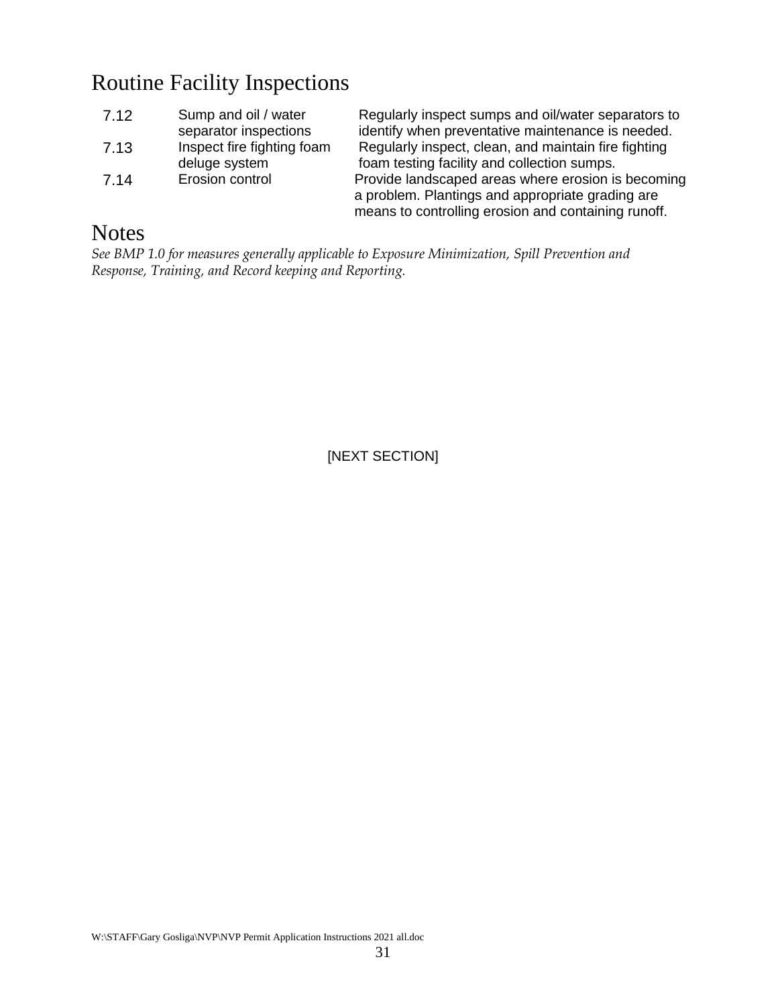# <span id="page-30-0"></span>Routine Facility Inspections

| 7.12 | Sump and oil / water       |
|------|----------------------------|
|      | separator inspections      |
| 7.13 | Inspect fire fighting foam |
|      | deluge system              |
| 7.14 | Erosion control            |
|      |                            |

Regularly inspect sumps and oil/water separators to identify when preventative maintenance is needed. Regularly inspect, clean, and maintain fire fighting foam testing facility and collection sumps. Provide landscaped areas where erosion is becoming a problem. Plantings and appropriate grading are means to controlling erosion and containing runoff.

# <span id="page-30-1"></span>**Notes**

*See BMP 1.0 for measures generally applicable to Exposure Minimization, Spill Prevention and Response, Training, and Record keeping and Reporting.*

[NEXT SECTION]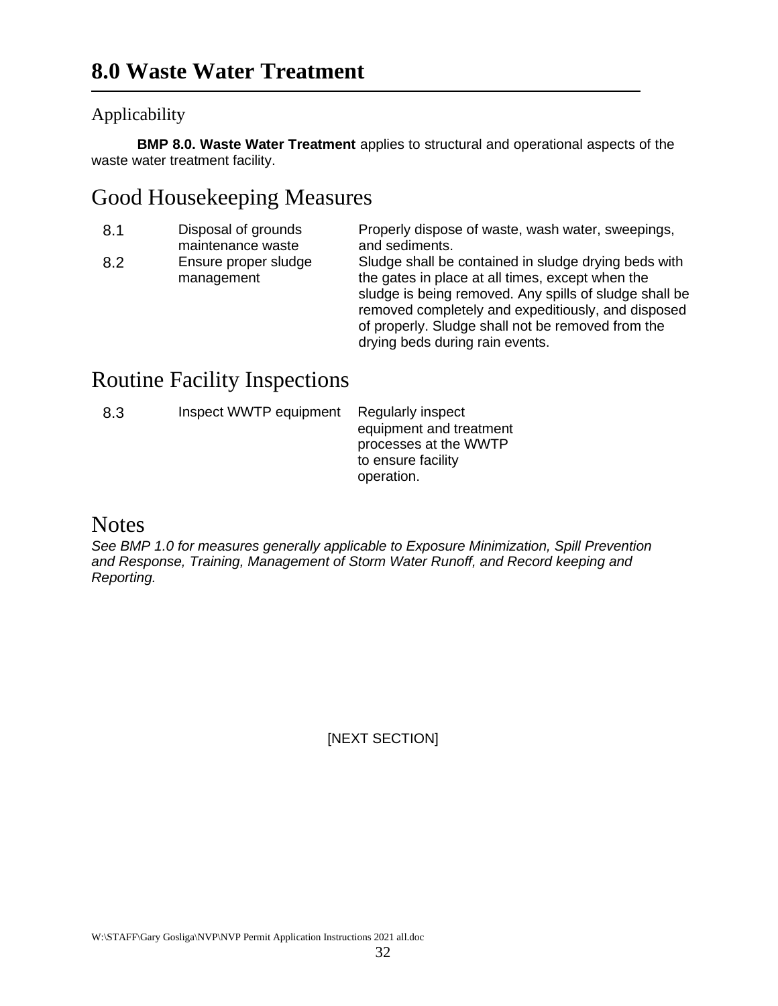## <span id="page-31-1"></span><span id="page-31-0"></span>Applicability

**BMP 8.0. Waste Water Treatment** applies to structural and operational aspects of the waste water treatment facility.

# <span id="page-31-2"></span>Good Housekeeping Measures

| 8.1 | Disposal of grounds<br>maintenance waste | Properly dispose of waste, wash water, sweepings,<br>and sediments.                                                                                                                                                                                                                                              |
|-----|------------------------------------------|------------------------------------------------------------------------------------------------------------------------------------------------------------------------------------------------------------------------------------------------------------------------------------------------------------------|
| 8.2 | Ensure proper sludge<br>management       | Sludge shall be contained in sludge drying beds with<br>the gates in place at all times, except when the<br>sludge is being removed. Any spills of sludge shall be<br>removed completely and expeditiously, and disposed<br>of properly. Sludge shall not be removed from the<br>drying beds during rain events. |

# <span id="page-31-3"></span>Routine Facility Inspections

| 8.3 | Inspect WWTP equipment | Regularly inspect       |
|-----|------------------------|-------------------------|
|     |                        | equipment and treatment |
|     |                        | processes at the WWTP   |
|     |                        | to ensure facility      |
|     |                        | operation.              |

# <span id="page-31-4"></span>**Notes**

*See BMP 1.0 for measures generally applicable to Exposure Minimization, Spill Prevention and Response, Training, Management of Storm Water Runoff, and Record keeping and Reporting.*

[NEXT SECTION]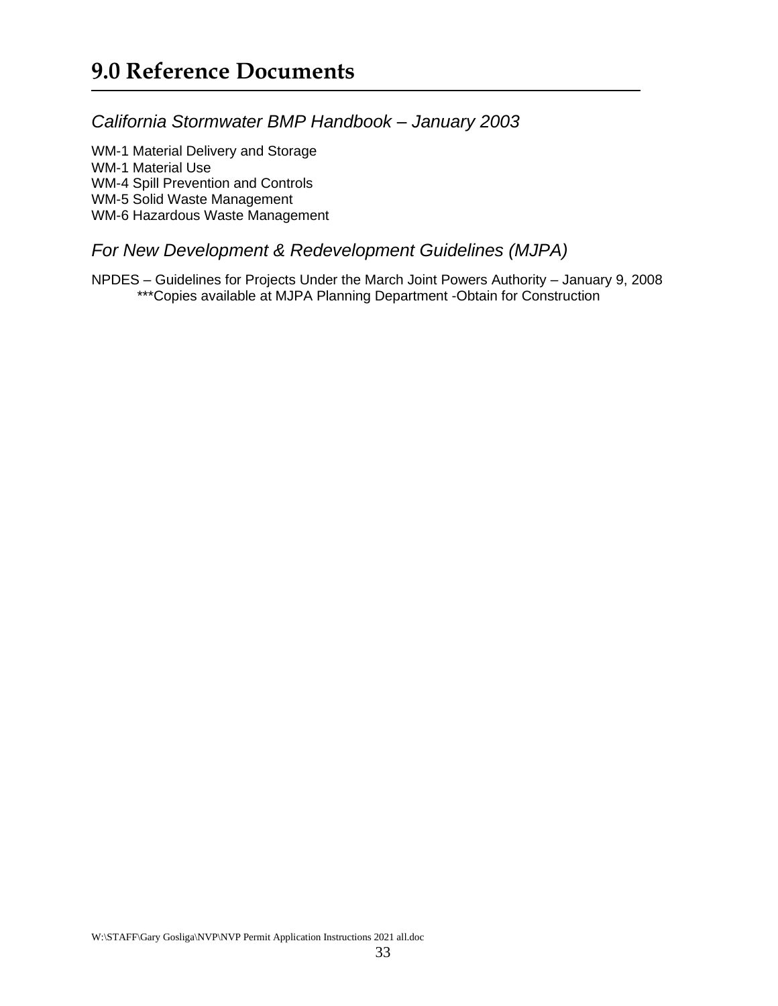# <span id="page-32-1"></span><span id="page-32-0"></span>*California Stormwater BMP Handbook – January 2003*

<span id="page-32-5"></span><span id="page-32-4"></span><span id="page-32-3"></span><span id="page-32-2"></span>WM-1 Material Delivery and Storage WM-1 Material Use WM-4 Spill Prevention and Controls WM-5 Solid Waste Management WM-6 Hazardous Waste Management

### <span id="page-32-7"></span><span id="page-32-6"></span>*For New Development & Redevelopment Guidelines (MJPA)*

<span id="page-32-9"></span><span id="page-32-8"></span>NPDES – Guidelines for Projects Under the March Joint Powers Authority – January 9, 2008 \*\*\*Copies available at MJPA Planning Department -Obtain for Construction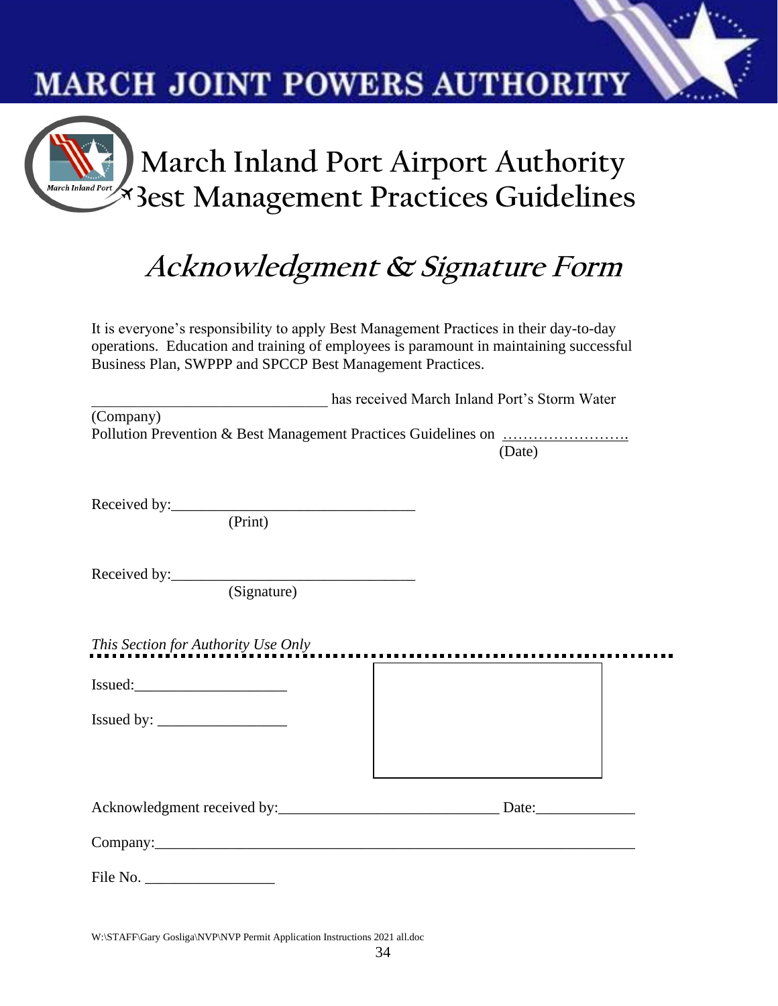# **MARCH JOINT POWERS AUTHORITY**



# **Acknowledgment & Signature Form**

It is everyone's responsibility to apply Best Management Practices in their day-to-day operations. Education and training of employees is paramount in maintaining successful Business Plan, SWPPP and SPCCP Best Management Practices.

|                                     | has received March Inland Port's Storm Water |
|-------------------------------------|----------------------------------------------|
| (Company)                           | (Date)                                       |
| (Print)                             |                                              |
| (Signature)                         |                                              |
| This Section for Authority Use Only |                                              |
| Issued:                             |                                              |
|                                     |                                              |

| Acknowledgment received by: | Date: |
|-----------------------------|-------|
|                             |       |

Company:

File No.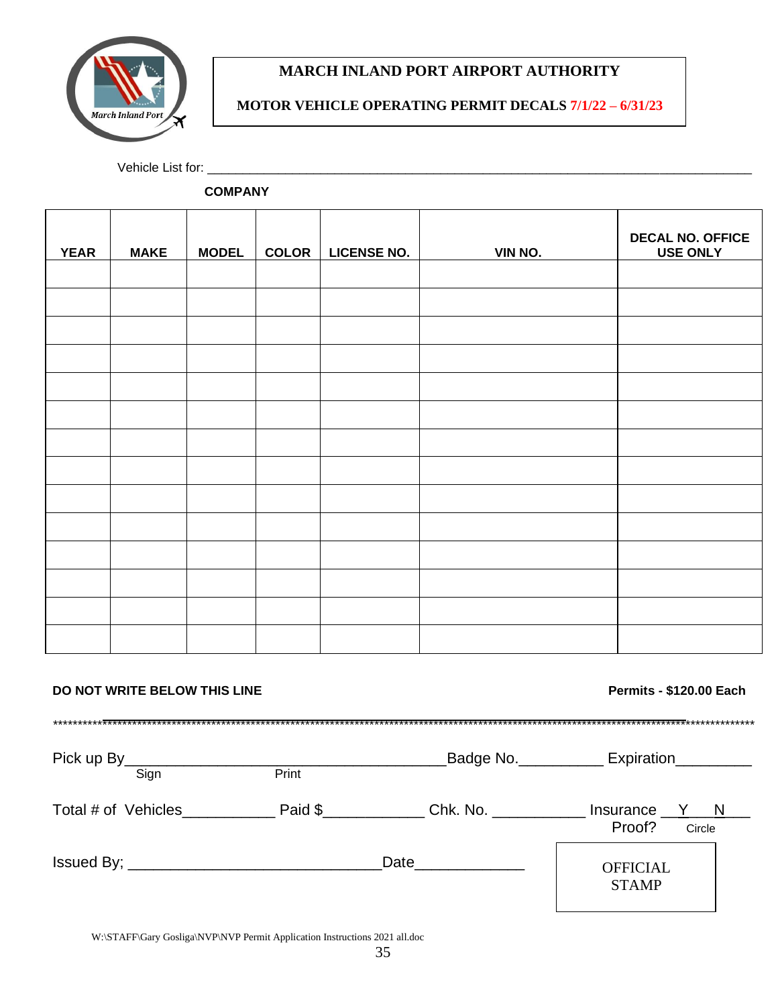

#### **MARCH INLAND PORT AIRPORT AUTHORITY**

#### **MOTOR VEHICLE OPERATING PERMIT DECALS 7/1/22 – 6/31/23**

Vehicle List for: \_\_\_\_\_\_\_\_\_\_\_\_\_\_\_\_\_\_\_\_\_\_\_\_\_\_\_\_\_\_\_\_\_\_\_\_\_\_\_\_\_\_\_\_\_\_\_\_\_\_\_\_\_\_\_\_\_\_\_\_\_\_\_\_\_\_\_\_\_\_\_\_\_\_\_\_\_

 **COMPANY**

| <b>YEAR</b> | <b>MAKE</b> | <b>MODEL</b> | <b>COLOR</b> | <b>LICENSE NO.</b> | VIN NO. | <b>DECAL NO. OFFICE</b><br><b>USE ONLY</b> |
|-------------|-------------|--------------|--------------|--------------------|---------|--------------------------------------------|
|             |             |              |              |                    |         |                                            |
|             |             |              |              |                    |         |                                            |
|             |             |              |              |                    |         |                                            |
|             |             |              |              |                    |         |                                            |
|             |             |              |              |                    |         |                                            |
|             |             |              |              |                    |         |                                            |
|             |             |              |              |                    |         |                                            |
|             |             |              |              |                    |         |                                            |
|             |             |              |              |                    |         |                                            |
|             |             |              |              |                    |         |                                            |
|             |             |              |              |                    |         |                                            |
|             |             |              |              |                    |         |                                            |
|             |             |              |              |                    |         |                                            |
|             |             |              |              |                    |         |                                            |

#### **DO NOT WRITE BELOW THIS LINE Permits - \$120.00 Each**

STAMP

\*\*\*\*\*\*\*\*\*\*\*\*\*\*\*\*\*\*\*\*\*\*\*\*\*\*\*\*\*\*\*\*\*\*\*\*\*\*\*\*\*\*\*\*\*\*\*\*\*\*\*\*\*\*\*\*\*\*\*\*\*\*\*\*\*\*\*\*\*\*\*\*\*\*\*\*\*\*\*\*\*\*\*\*\*\*\*\*\*\*\*\*\*\*\*\*\*\*\*\*\*\*\*\*\*\*\*\*\*\*\*\*\*\*\*\*\*\*\*\*\*\*\*\*\*\*\*\*\*\*\*\*\*\*\*\*\*\*\*\*\*\* Pick up By\_\_\_\_\_\_\_\_\_\_\_\_\_\_\_\_\_\_\_\_\_\_\_\_\_\_\_\_\_\_\_\_\_\_\_\_\_\_Badge No.\_\_\_\_\_\_\_\_\_\_ Expiration\_\_\_\_\_\_\_\_\_ Sign **Print** Total # of Vehicles\_\_\_\_\_\_\_\_\_\_\_\_\_ Paid  $\frac{1}{2}$  Paid  $\frac{1}{2}$  Chk. No. \_\_\_\_\_\_\_\_\_\_\_\_\_ Insurance  $\frac{1}{2}$  N Proof? Circle 2014 Circle 2014 2014 2014 2014 2015 2016 2017 2018 2014 2015 2016 2017 2017 2017 2017 2017 2017 Issued By; \_\_\_\_\_\_\_\_\_\_\_\_\_\_\_\_\_\_\_\_\_\_\_\_\_\_\_\_\_\_Date\_\_\_\_\_\_\_\_\_\_\_\_\_ **OFFICIAL**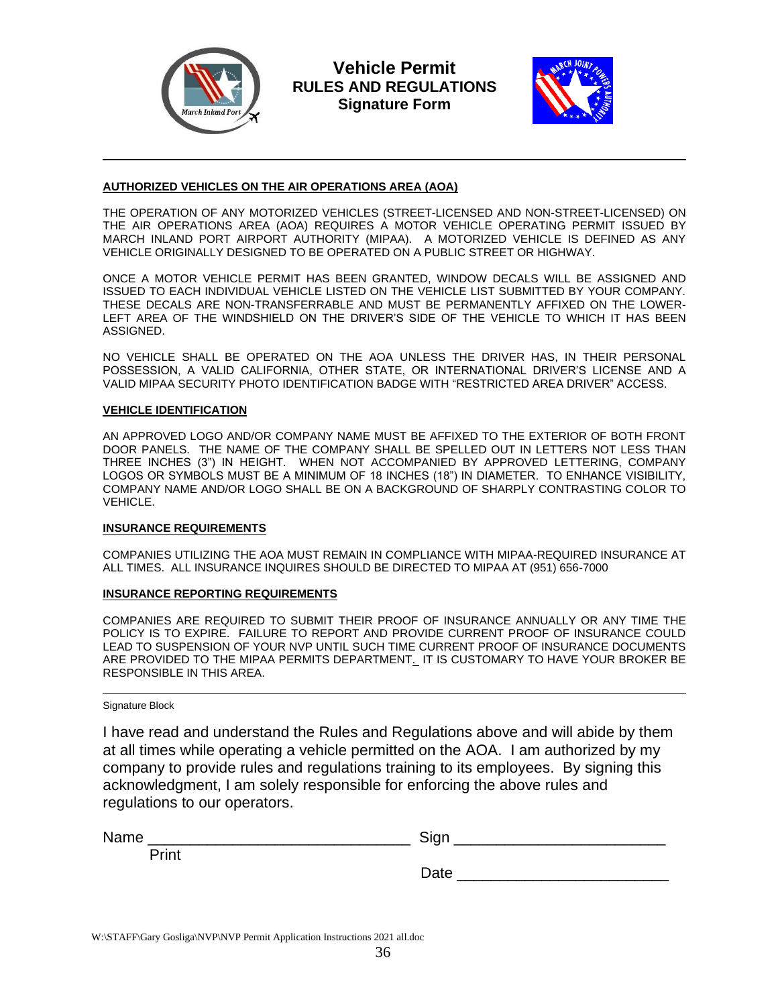

**Vehicle Permit RULES AND REGULATIONS Signature Form**



#### **AUTHORIZED VEHICLES ON THE AIR OPERATIONS AREA (AOA)**

THE OPERATION OF ANY MOTORIZED VEHICLES (STREET-LICENSED AND NON-STREET-LICENSED) ON THE AIR OPERATIONS AREA (AOA) REQUIRES A MOTOR VEHICLE OPERATING PERMIT ISSUED BY MARCH INLAND PORT AIRPORT AUTHORITY (MIPAA). A MOTORIZED VEHICLE IS DEFINED AS ANY VEHICLE ORIGINALLY DESIGNED TO BE OPERATED ON A PUBLIC STREET OR HIGHWAY.

ONCE A MOTOR VEHICLE PERMIT HAS BEEN GRANTED, WINDOW DECALS WILL BE ASSIGNED AND ISSUED TO EACH INDIVIDUAL VEHICLE LISTED ON THE VEHICLE LIST SUBMITTED BY YOUR COMPANY. THESE DECALS ARE NON-TRANSFERRABLE AND MUST BE PERMANENTLY AFFIXED ON THE LOWER-LEFT AREA OF THE WINDSHIELD ON THE DRIVER'S SIDE OF THE VEHICLE TO WHICH IT HAS BEEN ASSIGNED.

NO VEHICLE SHALL BE OPERATED ON THE AOA UNLESS THE DRIVER HAS, IN THEIR PERSONAL POSSESSION, A VALID CALIFORNIA, OTHER STATE, OR INTERNATIONAL DRIVER'S LICENSE AND A VALID MIPAA SECURITY PHOTO IDENTIFICATION BADGE WITH "RESTRICTED AREA DRIVER" ACCESS.

#### **VEHICLE IDENTIFICATION**

AN APPROVED LOGO AND/OR COMPANY NAME MUST BE AFFIXED TO THE EXTERIOR OF BOTH FRONT DOOR PANELS. THE NAME OF THE COMPANY SHALL BE SPELLED OUT IN LETTERS NOT LESS THAN THREE INCHES (3") IN HEIGHT. WHEN NOT ACCOMPANIED BY APPROVED LETTERING, COMPANY LOGOS OR SYMBOLS MUST BE A MINIMUM OF 18 INCHES (18") IN DIAMETER. TO ENHANCE VISIBILITY, COMPANY NAME AND/OR LOGO SHALL BE ON A BACKGROUND OF SHARPLY CONTRASTING COLOR TO VEHICLE.

#### **INSURANCE REQUIREMENTS**

COMPANIES UTILIZING THE AOA MUST REMAIN IN COMPLIANCE WITH MIPAA-REQUIRED INSURANCE AT ALL TIMES. ALL INSURANCE INQUIRES SHOULD BE DIRECTED TO MIPAA AT (951) 656-7000

#### **INSURANCE REPORTING REQUIREMENTS**

COMPANIES ARE REQUIRED TO SUBMIT THEIR PROOF OF INSURANCE ANNUALLY OR ANY TIME THE POLICY IS TO EXPIRE. FAILURE TO REPORT AND PROVIDE CURRENT PROOF OF INSURANCE COULD LEAD TO SUSPENSION OF YOUR NVP UNTIL SUCH TIME CURRENT PROOF OF INSURANCE DOCUMENTS ARE PROVIDED TO THE MIPAA PERMITS DEPARTMENT. IT IS CUSTOMARY TO HAVE YOUR BROKER BE RESPONSIBLE IN THIS AREA.

Signature Block

I have read and understand the Rules and Regulations above and will abide by them at all times while operating a vehicle permitted on the AOA. I am authorized by my company to provide rules and regulations training to its employees. By signing this acknowledgment, I am solely responsible for enforcing the above rules and regulations to our operators.

| Name  | Sign |  |
|-------|------|--|
| Print |      |  |
|       | Date |  |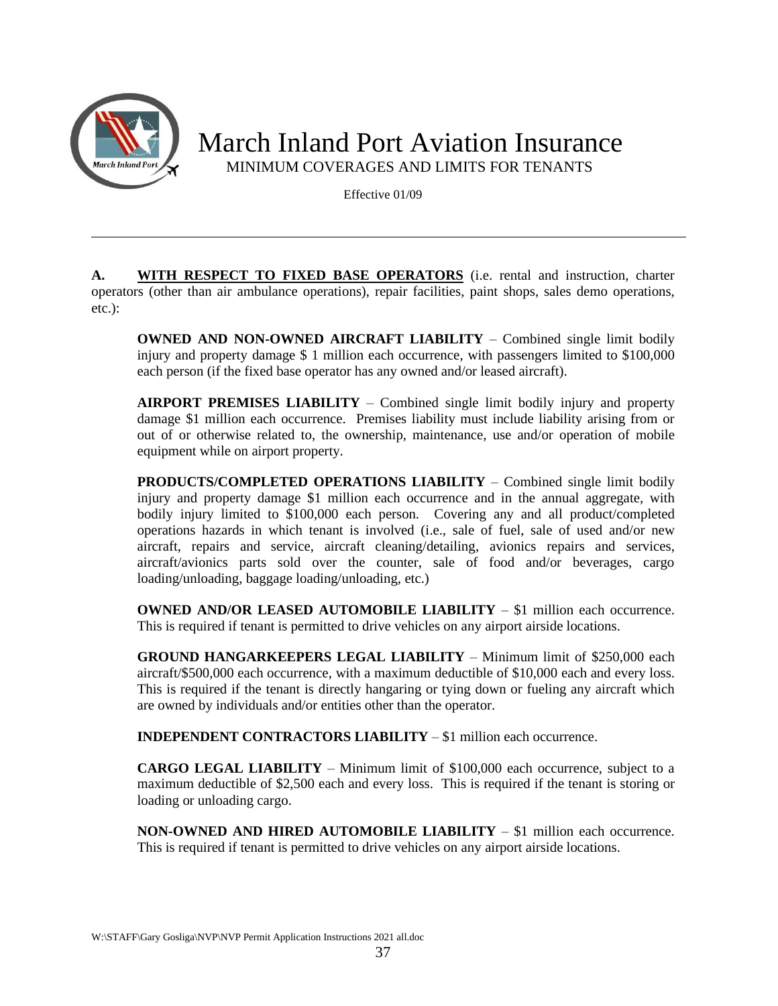

Effective 01/09

**A. WITH RESPECT TO FIXED BASE OPERATORS** (i.e. rental and instruction, charter operators (other than air ambulance operations), repair facilities, paint shops, sales demo operations, etc.):

**OWNED AND NON-OWNED AIRCRAFT LIABILITY** – Combined single limit bodily injury and property damage \$ 1 million each occurrence, with passengers limited to \$100,000 each person (if the fixed base operator has any owned and/or leased aircraft).

**AIRPORT PREMISES LIABILITY** – Combined single limit bodily injury and property damage \$1 million each occurrence. Premises liability must include liability arising from or out of or otherwise related to, the ownership, maintenance, use and/or operation of mobile equipment while on airport property.

**PRODUCTS/COMPLETED OPERATIONS LIABILITY** – Combined single limit bodily injury and property damage \$1 million each occurrence and in the annual aggregate, with bodily injury limited to \$100,000 each person*.* Covering any and all product/completed operations hazards in which tenant is involved (i.e., sale of fuel, sale of used and/or new aircraft, repairs and service, aircraft cleaning/detailing, avionics repairs and services, aircraft/avionics parts sold over the counter, sale of food and/or beverages, cargo loading/unloading, baggage loading/unloading, etc.)

**OWNED AND/OR LEASED AUTOMOBILE LIABILITY** – \$1 million each occurrence. This is required if tenant is permitted to drive vehicles on any airport airside locations.

**GROUND HANGARKEEPERS LEGAL LIABILITY** – Minimum limit of \$250,000 each aircraft/\$500,000 each occurrence, with a maximum deductible of \$10,000 each and every loss. This is required if the tenant is directly hangaring or tying down or fueling any aircraft which are owned by individuals and/or entities other than the operator.

**INDEPENDENT CONTRACTORS LIABILITY** – \$1 million each occurrence.

**CARGO LEGAL LIABILITY** – Minimum limit of \$100,000 each occurrence, subject to a maximum deductible of \$2,500 each and every loss. This is required if the tenant is storing or loading or unloading cargo.

**NON-OWNED AND HIRED AUTOMOBILE LIABILITY** – \$1 million each occurrence. This is required if tenant is permitted to drive vehicles on any airport airside locations.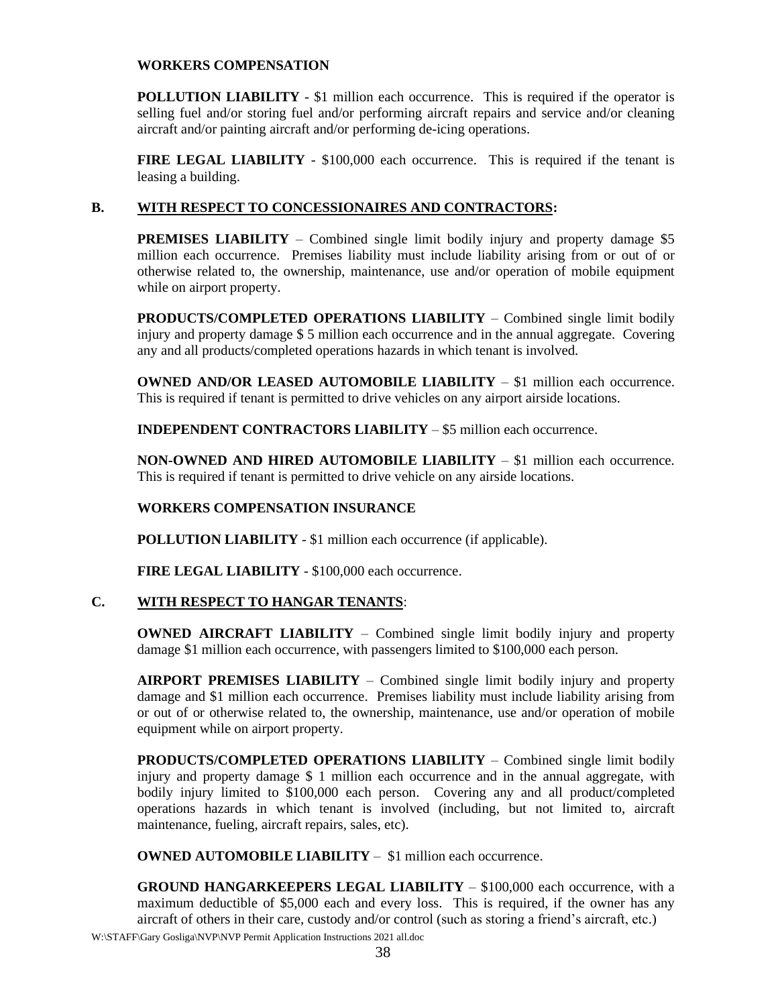#### **WORKERS COMPENSATION**

**POLLUTION LIABILITY** - \$1 million each occurrence. This is required if the operator is selling fuel and/or storing fuel and/or performing aircraft repairs and service and/or cleaning aircraft and/or painting aircraft and/or performing de-icing operations.

**FIRE LEGAL LIABILITY** - \$100,000 each occurrence. This is required if the tenant is leasing a building.

#### **B. WITH RESPECT TO CONCESSIONAIRES AND CONTRACTORS:**

**PREMISES LIABILITY** – Combined single limit bodily injury and property damage \$5 million each occurrence. Premises liability must include liability arising from or out of or otherwise related to, the ownership, maintenance, use and/or operation of mobile equipment while on airport property.

**PRODUCTS/COMPLETED OPERATIONS LIABILITY** – Combined single limit bodily injury and property damage \$ 5 million each occurrence and in the annual aggregate. Covering any and all products/completed operations hazards in which tenant is involved.

**OWNED AND/OR LEASED AUTOMOBILE LIABILITY** – \$1 million each occurrence. This is required if tenant is permitted to drive vehicles on any airport airside locations.

**INDEPENDENT CONTRACTORS LIABILITY** – \$5 million each occurrence.

**NON-OWNED AND HIRED AUTOMOBILE LIABILITY** – \$1 million each occurrence. This is required if tenant is permitted to drive vehicle on any airside locations.

#### **WORKERS COMPENSATION INSURANCE**

**POLLUTION LIABILITY** - \$1 million each occurrence (if applicable).

**FIRE LEGAL LIABILITY** - \$100,000 each occurrence.

#### **C. WITH RESPECT TO HANGAR TENANTS**:

**OWNED AIRCRAFT LIABILITY** – Combined single limit bodily injury and property damage \$1 million each occurrence, with passengers limited to \$100,000 each person.

**AIRPORT PREMISES LIABILITY** – Combined single limit bodily injury and property damage and \$1 million each occurrence. Premises liability must include liability arising from or out of or otherwise related to, the ownership, maintenance, use and/or operation of mobile equipment while on airport property.

**PRODUCTS/COMPLETED OPERATIONS LIABILITY** – Combined single limit bodily injury and property damage \$ 1 million each occurrence and in the annual aggregate, with bodily injury limited to \$100,000 each person. Covering any and all product/completed operations hazards in which tenant is involved (including, but not limited to, aircraft maintenance, fueling, aircraft repairs, sales, etc).

**OWNED AUTOMOBILE LIABILITY** – \$1 million each occurrence.

**GROUND HANGARKEEPERS LEGAL LIABILITY** – \$100,000 each occurrence, with a maximum deductible of \$5,000 each and every loss. This is required, if the owner has any aircraft of others in their care, custody and/or control (such as storing a friend's aircraft, etc.)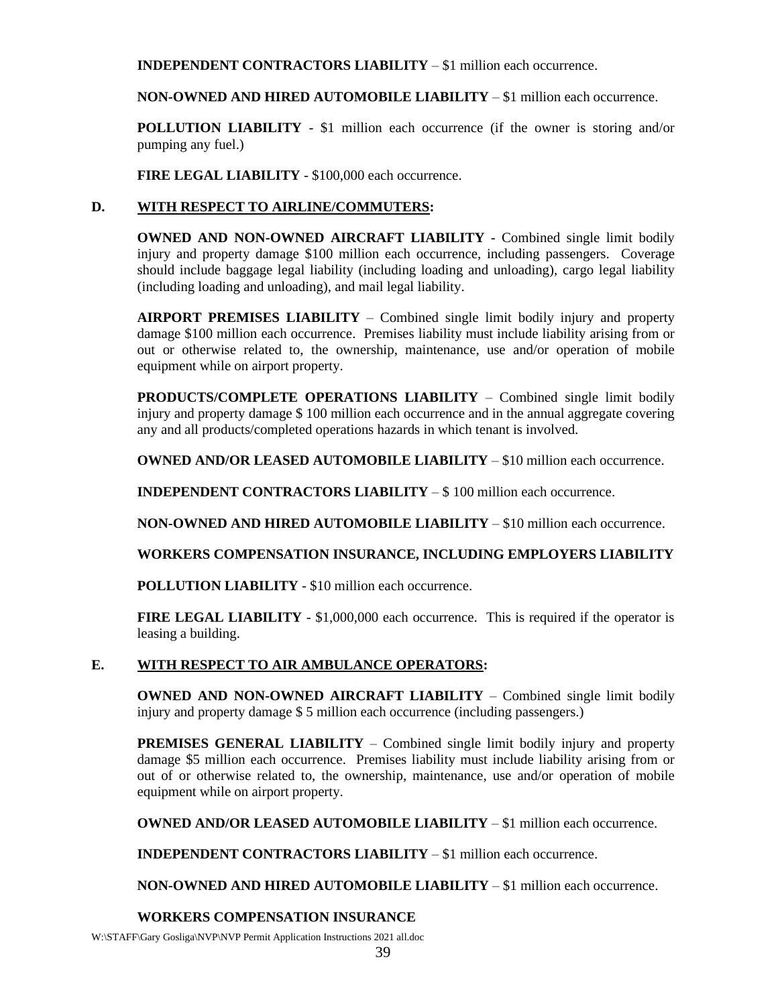**INDEPENDENT CONTRACTORS LIABILITY** – \$1 million each occurrence.

**NON-OWNED AND HIRED AUTOMOBILE LIABILITY** – \$1 million each occurrence.

**POLLUTION LIABILITY** - \$1 million each occurrence (if the owner is storing and/or pumping any fuel.)

**FIRE LEGAL LIABILITY** - \$100,000 each occurrence.

#### **D. WITH RESPECT TO AIRLINE/COMMUTERS:**

**OWNED AND NON-OWNED AIRCRAFT LIABILITY** - Combined single limit bodily injury and property damage \$100 million each occurrence, including passengers. Coverage should include baggage legal liability (including loading and unloading), cargo legal liability (including loading and unloading), and mail legal liability.

**AIRPORT PREMISES LIABILITY** – Combined single limit bodily injury and property damage \$100 million each occurrence. Premises liability must include liability arising from or out or otherwise related to, the ownership, maintenance, use and/or operation of mobile equipment while on airport property.

**PRODUCTS/COMPLETE OPERATIONS LIABILITY** – Combined single limit bodily injury and property damage \$ 100 million each occurrence and in the annual aggregate covering any and all products/completed operations hazards in which tenant is involved.

**OWNED AND/OR LEASED AUTOMOBILE LIABILITY** – \$10 million each occurrence.

**INDEPENDENT CONTRACTORS LIABILITY** – \$ 100 million each occurrence.

**NON-OWNED AND HIRED AUTOMOBILE LIABILITY** – \$10 million each occurrence.

**WORKERS COMPENSATION INSURANCE, INCLUDING EMPLOYERS LIABILITY**

**POLLUTION LIABILITY** - \$10 million each occurrence.

**FIRE LEGAL LIABILITY** - \$1,000,000 each occurrence. This is required if the operator is leasing a building.

#### **E. WITH RESPECT TO AIR AMBULANCE OPERATORS:**

**OWNED AND NON-OWNED AIRCRAFT LIABILITY** – Combined single limit bodily injury and property damage \$ 5 million each occurrence (including passengers.)

**PREMISES GENERAL LIABILITY** – Combined single limit bodily injury and property damage \$5 million each occurrence. Premises liability must include liability arising from or out of or otherwise related to, the ownership, maintenance, use and/or operation of mobile equipment while on airport property.

**OWNED AND/OR LEASED AUTOMOBILE LIABILITY** – \$1 million each occurrence.

**INDEPENDENT CONTRACTORS LIABILITY** – \$1 million each occurrence.

**NON-OWNED AND HIRED AUTOMOBILE LIABILITY** – \$1 million each occurrence.

#### **WORKERS COMPENSATION INSURANCE**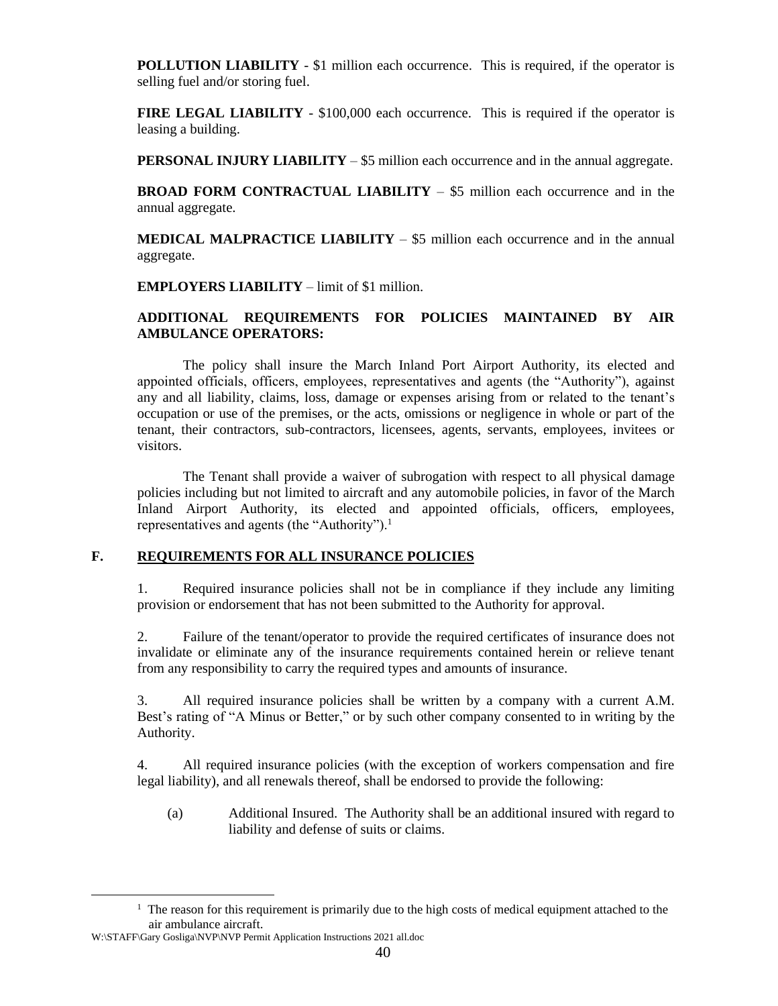**POLLUTION LIABILITY** - \$1 million each occurrence. This is required, if the operator is selling fuel and/or storing fuel.

**FIRE LEGAL LIABILITY** - \$100,000 each occurrence. This is required if the operator is leasing a building.

**PERSONAL INJURY LIABILITY** – \$5 million each occurrence and in the annual aggregate.

**BROAD FORM CONTRACTUAL LIABILITY** – \$5 million each occurrence and in the annual aggregate.

**MEDICAL MALPRACTICE LIABILITY** – \$5 million each occurrence and in the annual aggregate.

**EMPLOYERS LIABILITY** – limit of \$1 million.

#### **ADDITIONAL REQUIREMENTS FOR POLICIES MAINTAINED BY AIR AMBULANCE OPERATORS:**

The policy shall insure the March Inland Port Airport Authority, its elected and appointed officials, officers, employees, representatives and agents (the "Authority"), against any and all liability, claims, loss, damage or expenses arising from or related to the tenant's occupation or use of the premises, or the acts, omissions or negligence in whole or part of the tenant, their contractors, sub-contractors, licensees, agents, servants, employees, invitees or visitors.

The Tenant shall provide a waiver of subrogation with respect to all physical damage policies including but not limited to aircraft and any automobile policies, in favor of the March Inland Airport Authority, its elected and appointed officials, officers, employees, representatives and agents (the "Authority"). $<sup>1</sup>$ </sup>

#### **F. REQUIREMENTS FOR ALL INSURANCE POLICIES**

1. Required insurance policies shall not be in compliance if they include any limiting provision or endorsement that has not been submitted to the Authority for approval.

2. Failure of the tenant/operator to provide the required certificates of insurance does not invalidate or eliminate any of the insurance requirements contained herein or relieve tenant from any responsibility to carry the required types and amounts of insurance.

3. All required insurance policies shall be written by a company with a current A.M. Best's rating of "A Minus or Better," or by such other company consented to in writing by the Authority.

4. All required insurance policies (with the exception of workers compensation and fire legal liability), and all renewals thereof, shall be endorsed to provide the following:

(a) Additional Insured. The Authority shall be an additional insured with regard to liability and defense of suits or claims.

 $<sup>1</sup>$  The reason for this requirement is primarily due to the high costs of medical equipment attached to the</sup> air ambulance aircraft.

W:\STAFF\Gary Gosliga\NVP\NVP Permit Application Instructions 2021 all.doc